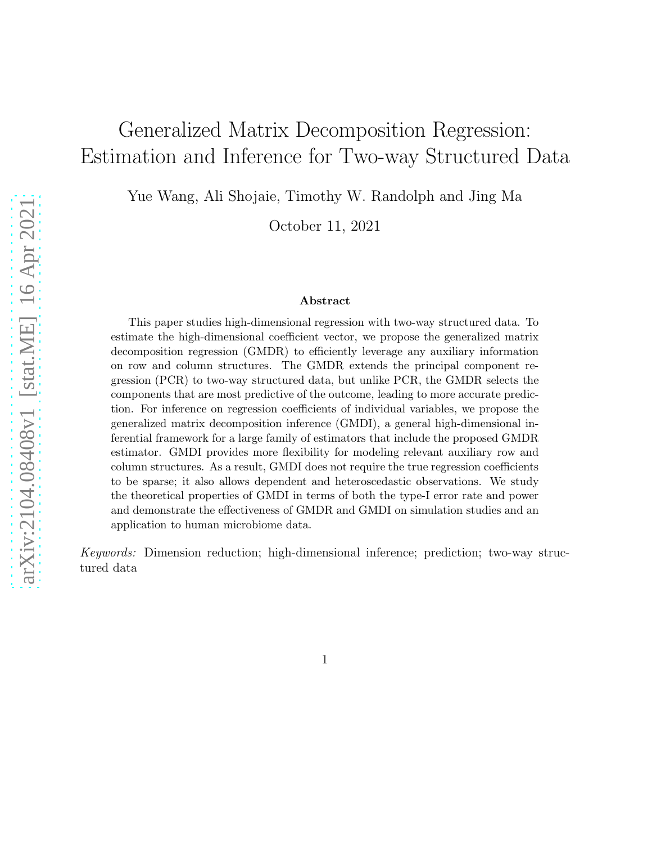# Generalized Matrix Decomposition Regression: Estimation and Inference for Two-way Structured Data

Yue Wang, Ali Shojaie, Timothy W. Randolph and Jing Ma

October 11, 2021

#### Abstract

This paper studies high-dimensional regression with two-way structured data. To estimate the high-dimensional coefficient vector, we propose the generalized matrix decomposition regression (GMDR) to efficiently leverage any auxiliary information on row and column structures. The GMDR extends the principal component regression (PCR) to two-way structured data, but unlike PCR, the GMDR selects the components that are most predictive of the outcome, leading to more accurate prediction. For inference on regression coefficients of individual variables, we propose the generalized matrix decomposition inference (GMDI), a general high-dimensional inferential framework for a large family of estimators that include the proposed GMDR estimator. GMDI provides more flexibility for modeling relevant auxiliary row and column structures. As a result, GMDI does not require the true regression coefficients to be sparse; it also allows dependent and heteroscedastic observations. We study the theoretical properties of GMDI in terms of both the type-I error rate and power and demonstrate the effectiveness of GMDR and GMDI on simulation studies and an application to human microbiome data.

*Keywords:* Dimension reduction; high-dimensional inference; prediction; two-way structured data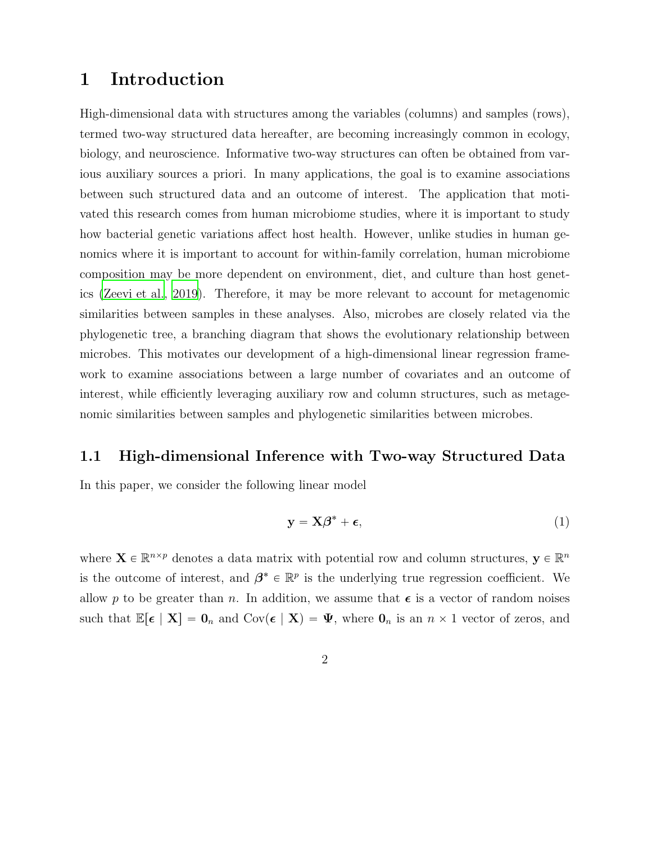## 1 Introduction

High-dimensional data with structures among the variables (columns) and samples (rows), termed two-way structured data hereafter, are becoming increasingly common in ecology, biology, and neuroscience. Informative two-way structures can often be obtained from various auxiliary sources a priori. In many applications, the goal is to examine associations between such structured data and an outcome of interest. The application that motivated this research comes from human microbiome studies, where it is important to study how bacterial genetic variations affect host health. However, unlike studies in human genomics where it is important to account for within-family correlation, human microbiome composition may be more dependent on environment, diet, and culture than host genetics [\(Zeevi et al.](#page-44-0), [2019\)](#page-44-0). Therefore, it may be more relevant to account for metagenomic similarities between samples in these analyses. Also, microbes are closely related via the phylogenetic tree, a branching diagram that shows the evolutionary relationship between microbes. This motivates our development of a high-dimensional linear regression framework to examine associations between a large number of covariates and an outcome of interest, while efficiently leveraging auxiliary row and column structures, such as metagenomic similarities between samples and phylogenetic similarities between microbes.

#### 1.1 High-dimensional Inference with Two-way Structured Data

In this paper, we consider the following linear model

<span id="page-1-0"></span>
$$
y = X\beta^* + \epsilon,\tag{1}
$$

where  $\mathbf{X} \in \mathbb{R}^{n \times p}$  denotes a data matrix with potential row and column structures,  $\mathbf{y} \in \mathbb{R}^n$ is the outcome of interest, and  $\beta^* \in \mathbb{R}^p$  is the underlying true regression coefficient. We allow p to be greater than n. In addition, we assume that  $\epsilon$  is a vector of random noises such that  $\mathbb{E}[\epsilon | \mathbf{X}] = \mathbf{0}_n$  and  $Cov(\epsilon | \mathbf{X}) = \Psi$ , where  $\mathbf{0}_n$  is an  $n \times 1$  vector of zeros, and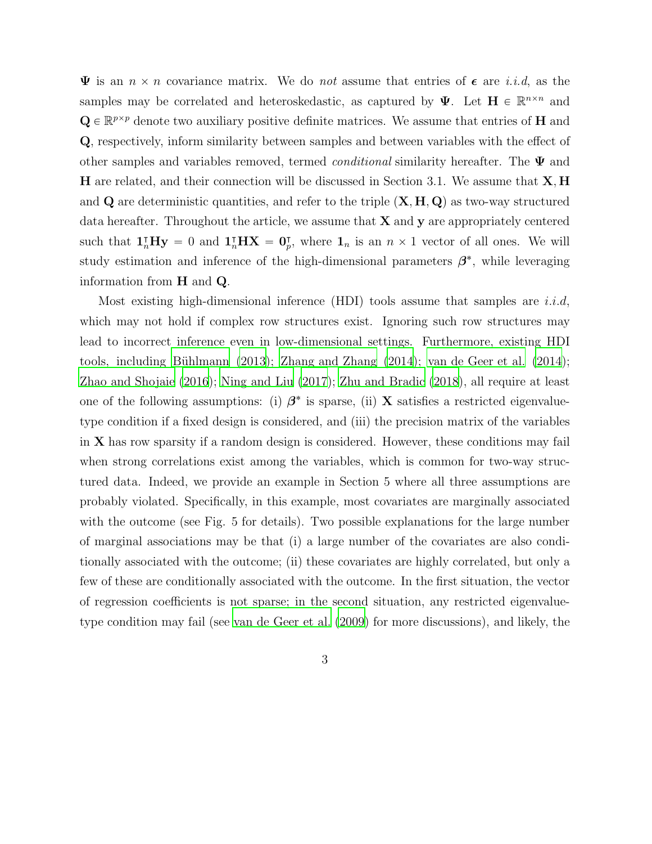$\Psi$  is an  $n \times n$  covariance matrix. We do *not* assume that entries of  $\epsilon$  are *i.i.d.*, as the samples may be correlated and heteroskedastic, as captured by  $\Psi$ . Let  $H \in \mathbb{R}^{n \times n}$  and  $\mathbf{Q} \in \mathbb{R}^{p \times p}$  denote two auxiliary positive definite matrices. We assume that entries of **H** and Q, respectively, inform similarity between samples and between variables with the effect of other samples and variables removed, termed *conditional* similarity hereafter. The Ψ and **H** are related, and their connection will be discussed in Section 3.1. We assume that  $\mathbf{X}, \mathbf{H}$ and  $\bf{Q}$  are deterministic quantities, and refer to the triple  $(\bf{X}, \bf{H}, \bf{Q})$  as two-way structured data hereafter. Throughout the article, we assume that  $X$  and  $y$  are appropriately centered such that  $1_n^{\dagger}Hy = 0$  and  $1_n^{\dagger}HX = 0_p^{\dagger}$ , where  $1_n$  is an  $n \times 1$  vector of all ones. We will study estimation and inference of the high-dimensional parameters  $\beta^*$ , while leveraging information from H and Q.

Most existing high-dimensional inference (HDI) tools assume that samples are  $i.i.d$ , which may not hold if complex row structures exist. Ignoring such row structures may lead to incorrect inference even in low-dimensional settings. Furthermore, existing HDI tools, including Bühlmann (2013); [Zhang and Zhang \(2014](#page-44-1)); van de [Geer et al. \(2014\)](#page-44-2); [Zhao and Shojaie \(2016\)](#page-45-0); [Ning and Liu \(2017\)](#page-43-0); [Zhu and Bradic \(2018\)](#page-45-1), all require at least one of the following assumptions: (i)  $\beta^*$  is sparse, (ii) X satisfies a restricted eigenvaluetype condition if a fixed design is considered, and (iii) the precision matrix of the variables in X has row sparsity if a random design is considered. However, these conditions may fail when strong correlations exist among the variables, which is common for two-way structured data. Indeed, we provide an example in Section 5 where all three assumptions are probably violated. Specifically, in this example, most covariates are marginally associated with the outcome (see Fig. 5 for details). Two possible explanations for the large number of marginal associations may be that (i) a large number of the covariates are also conditionally associated with the outcome; (ii) these covariates are highly correlated, but only a few of these are conditionally associated with the outcome. In the first situation, the vector of regression coefficients is not sparse; in the second situation, any restricted eigenvaluetype condition may fail (see [van de Geer et al. \(2009](#page-44-3)) for more discussions), and likely, the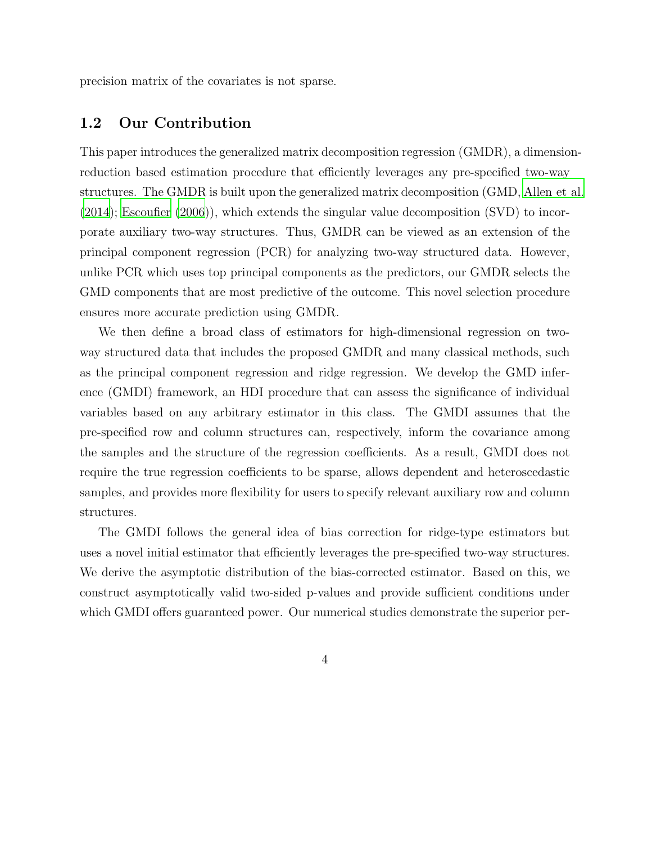precision matrix of the covariates is not sparse.

### 1.2 Our Contribution

This paper introduces the generalized matrix decomposition regression (GMDR), a dimensionreduction based estimation procedure that efficiently leverages any pre-specified two-way structures. The GMDR is built upon the generalized matrix decomposition (GMD, [Allen et al.](#page-41-1) [\(2014\)](#page-41-1); [Escoufier \(2006](#page-42-0))), which extends the singular value decomposition (SVD) to incorporate auxiliary two-way structures. Thus, GMDR can be viewed as an extension of the principal component regression (PCR) for analyzing two-way structured data. However, unlike PCR which uses top principal components as the predictors, our GMDR selects the GMD components that are most predictive of the outcome. This novel selection procedure ensures more accurate prediction using GMDR.

We then define a broad class of estimators for high-dimensional regression on twoway structured data that includes the proposed GMDR and many classical methods, such as the principal component regression and ridge regression. We develop the GMD inference (GMDI) framework, an HDI procedure that can assess the significance of individual variables based on any arbitrary estimator in this class. The GMDI assumes that the pre-specified row and column structures can, respectively, inform the covariance among the samples and the structure of the regression coefficients. As a result, GMDI does not require the true regression coefficients to be sparse, allows dependent and heteroscedastic samples, and provides more flexibility for users to specify relevant auxiliary row and column structures.

The GMDI follows the general idea of bias correction for ridge-type estimators but uses a novel initial estimator that efficiently leverages the pre-specified two-way structures. We derive the asymptotic distribution of the bias-corrected estimator. Based on this, we construct asymptotically valid two-sided p-values and provide sufficient conditions under which GMDI offers guaranteed power. Our numerical studies demonstrate the superior per-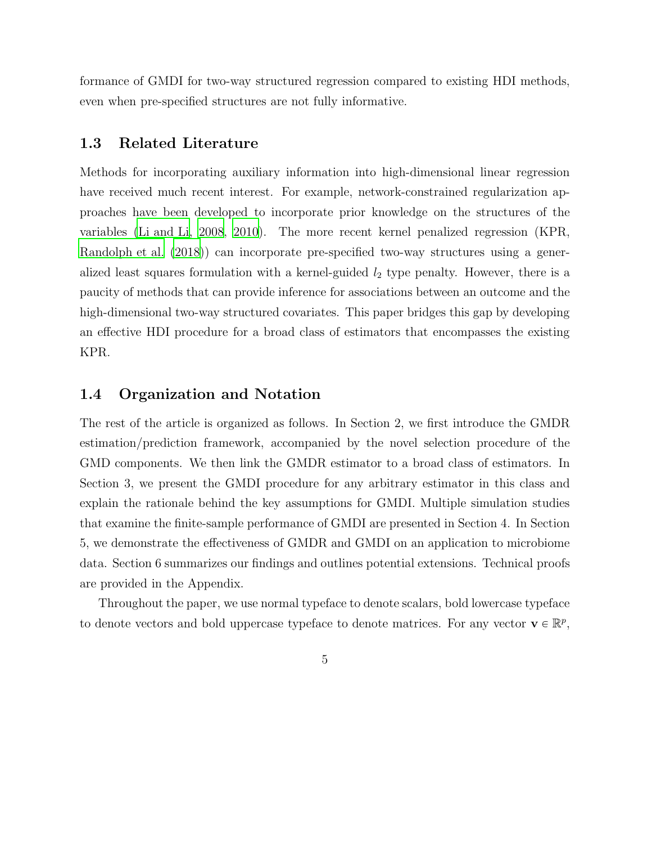formance of GMDI for two-way structured regression compared to existing HDI methods, even when pre-specified structures are not fully informative.

### 1.3 Related Literature

Methods for incorporating auxiliary information into high-dimensional linear regression have received much recent interest. For example, network-constrained regularization approaches have been developed to incorporate prior knowledge on the structures of the variables [\(Li and Li, 2008](#page-42-1), [2010\)](#page-42-2). The more recent kernel penalized regression (KPR, [Randolph et al. \(2018\)](#page-43-1)) can incorporate pre-specified two-way structures using a generalized least squares formulation with a kernel-guided  $l_2$  type penalty. However, there is a paucity of methods that can provide inference for associations between an outcome and the high-dimensional two-way structured covariates. This paper bridges this gap by developing an effective HDI procedure for a broad class of estimators that encompasses the existing KPR.

### 1.4 Organization and Notation

The rest of the article is organized as follows. In Section 2, we first introduce the GMDR estimation/prediction framework, accompanied by the novel selection procedure of the GMD components. We then link the GMDR estimator to a broad class of estimators. In Section 3, we present the GMDI procedure for any arbitrary estimator in this class and explain the rationale behind the key assumptions for GMDI. Multiple simulation studies that examine the finite-sample performance of GMDI are presented in Section 4. In Section 5, we demonstrate the effectiveness of GMDR and GMDI on an application to microbiome data. Section 6 summarizes our findings and outlines potential extensions. Technical proofs are provided in the Appendix.

Throughout the paper, we use normal typeface to denote scalars, bold lowercase typeface to denote vectors and bold uppercase typeface to denote matrices. For any vector  $\mathbf{v} \in \mathbb{R}^p$ ,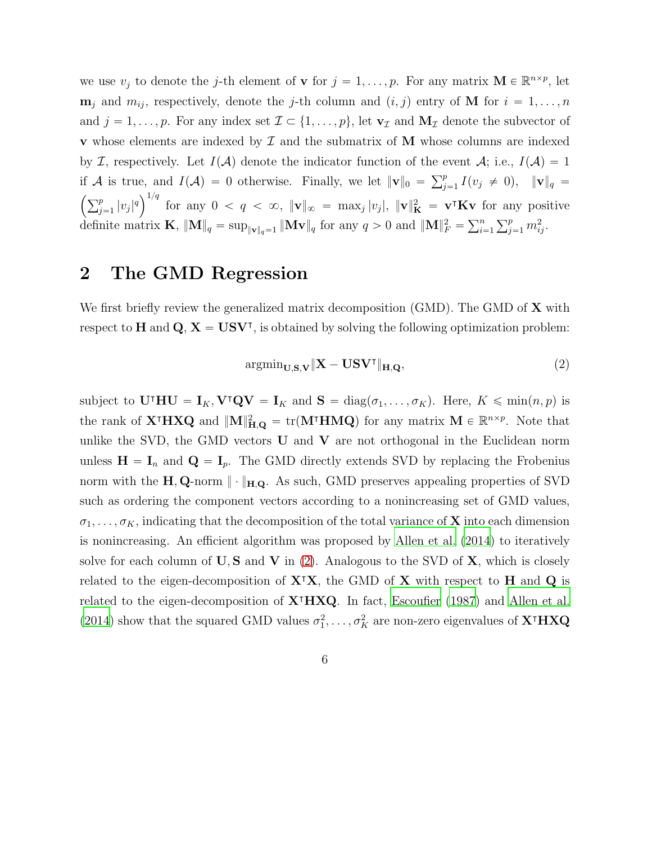we use  $v_j$  to denote the j-th element of **v** for  $j = 1, ..., p$ . For any matrix  $\mathbf{M} \in \mathbb{R}^{n \times p}$ , let  $\mathbf{m}_j$  and  $m_{ij}$ , respectively, denote the j-th column and  $(i, j)$  entry of M for  $i = 1, \ldots, n$ and  $j = 1, \ldots, p$ . For any index set  $\mathcal{I} \subset \{1, \ldots, p\}$ , let  $\mathbf{v}_{\mathcal{I}}$  and  $\mathbf{M}_{\mathcal{I}}$  denote the subvector of **v** whose elements are indexed by  $\mathcal I$  and the submatrix of  $\mathbf M$  whose columns are indexed by I, respectively. Let  $I(A)$  denote the indicator function of the event  $A$ ; i.e.,  $I(A) = 1$ if A is true, and  $I(\mathcal{A}) = 0$  otherwise. Finally, we let  $||\mathbf{v}||_0 = \sum_{j=1}^p I(v_j \neq 0)$ ,  $||\mathbf{v}||_q =$  $\left(\sum_{j=1}^p |v_j|^q\right)^{1/q}$ for any  $0 < q < \infty$ ,  $\|\mathbf{v}\|_{\infty} = \max_j |v_j|$ ,  $\|\mathbf{v}\|_{\mathbf{K}}^2 = \mathbf{v}^{\mathsf{T}}\mathbf{K}\mathbf{v}$  for any positive definite matrix **K**,  $\|\mathbf{M}\|_q = \sup_{\|\mathbf{v}\|_q = 1} \|\mathbf{M}\mathbf{v}\|_q$  for any  $q > 0$  and  $\|\mathbf{M}\|_F^2 = \sum_{i=1}^n \sum_{j=1}^p m_{ij}^2$ .

## 2 The GMD Regression

We first briefly review the generalized matrix decomposition (GMD). The GMD of  $X$  with respect to **H** and  $Q$ ,  $X = USV<sup>T</sup>$ , is obtained by solving the following optimization problem:

<span id="page-5-0"></span>
$$
\operatorname{argmin}_{\mathbf{U}, \mathbf{S}, \mathbf{V}} \|\mathbf{X} - \mathbf{U} \mathbf{S} \mathbf{V}^{\mathsf{T}}\|_{\mathbf{H}, \mathbf{Q}},\tag{2}
$$

subject to  $U^{\dagger}HU = I_K$ ,  $V^{\dagger}QV = I_K$  and  $S = diag(\sigma_1, ..., \sigma_K)$ . Here,  $K \leq \min(n, p)$  is the rank of  $X^{\dagger}H X Q$  and  $||M||_{H,Q}^2 = \text{tr}(M^{\dagger}H M Q)$  for any matrix  $M \in \mathbb{R}^{n \times p}$ . Note that unlike the SVD, the GMD vectors  $U$  and  $V$  are not orthogonal in the Euclidean norm unless  $\mathbf{H} = \mathbf{I}_n$  and  $\mathbf{Q} = \mathbf{I}_p$ . The GMD directly extends SVD by replacing the Frobenius norm with the  $H, Q$ -norm  $\|\cdot\|_{H,Q}$ . As such, GMD preserves appealing properties of SVD such as ordering the component vectors according to a nonincreasing set of GMD values,  $\sigma_1, \ldots, \sigma_K$ , indicating that the decomposition of the total variance of **X** into each dimension is nonincreasing. An efficient algorithm was proposed by [Allen et al. \(2014\)](#page-41-1) to iteratively solve for each column of  $\bf{U}, \bf{S}$  and  $\bf{V}$  in [\(2\)](#page-5-0). Analogous to the SVD of  $\bf{X}$ , which is closely related to the eigen-decomposition of  $X^{\dagger}X$ , the GMD of X with respect to H and Q is related to the eigen-decomposition of  $X^{\dagger}HXQ$ . In fact, [Escoufier \(1987\)](#page-42-3) and [Allen et al.](#page-41-1) [\(2014\)](#page-41-1) show that the squared GMD values  $\sigma_1^2, \ldots, \sigma_K^2$  are non-zero eigenvalues of **X**<sup>†</sup>**HXQ**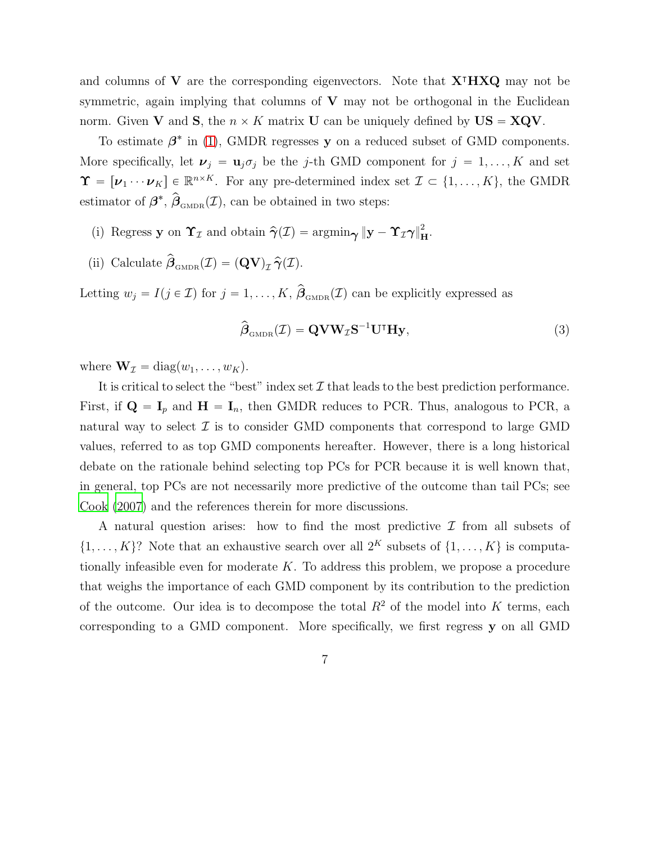and columns of V are the corresponding eigenvectors. Note that X<sup>⊺</sup>HXQ may not be symmetric, again implying that columns of  $V$  may not be orthogonal in the Euclidean norm. Given **V** and **S**, the  $n \times K$  matrix **U** can be uniquely defined by  $US = XQV$ .

To estimate  $\beta^*$  in [\(1\)](#page-1-0), GMDR regresses y on a reduced subset of GMD components. More specifically, let  $v_j = u_j \sigma_j$  be the j-th GMD component for  $j = 1, ..., K$  and set  $\Upsilon = [\nu_1 \cdots \nu_K] \in \mathbb{R}^{n \times K}$ . For any pre-determined index set  $\mathcal{I} \subset \{1, \ldots, K\}$ , the GMDR estimator of  $\beta^*, \hat{\beta}_{\text{\tiny GMDR}}(\mathcal{I})$ , can be obtained in two steps:

- (i) Regress y on  $\Upsilon_{\mathcal{I}}$  and obtain  $\hat{\gamma}(\mathcal{I}) = \operatorname{argmin}_{\Upsilon} ||y \Upsilon_{\mathcal{I}} \gamma||_{\mathbf{H}}^2$ .
- (ii) Calculate  $\hat{\boldsymbol{\beta}}_{\text{GMDR}}(\mathcal{I}) = (\mathbf{QV})_{\mathcal{I}} \hat{\boldsymbol{\gamma}}(\mathcal{I}).$

Letting  $w_j = I(j \in \mathcal{I})$  for  $j = 1, ..., K$ ,  $\hat{\boldsymbol{\beta}}_{\text{GMDR}}(\mathcal{I})$  can be explicitly expressed as

<span id="page-6-0"></span>
$$
\hat{\boldsymbol{\beta}}_{\text{GMDR}}(\mathcal{I}) = \mathbf{Q} \mathbf{V} \mathbf{W}_{\mathcal{I}} \mathbf{S}^{-1} \mathbf{U}^{\mathsf{T}} \mathbf{H} \mathbf{y},\tag{3}
$$

where  $\mathbf{W}_{\mathcal{I}} = \text{diag}(w_1, \ldots, w_K)$ .

It is critical to select the "best" index set  $\mathcal I$  that leads to the best prediction performance. First, if  $\mathbf{Q} = \mathbf{I}_p$  and  $\mathbf{H} = \mathbf{I}_n$ , then GMDR reduces to PCR. Thus, analogous to PCR, a natural way to select  $\mathcal I$  is to consider GMD components that correspond to large GMD values, referred to as top GMD components hereafter. However, there is a long historical debate on the rationale behind selecting top PCs for PCR because it is well known that, in general, top PCs are not necessarily more predictive of the outcome than tail PCs; see [Cook \(2007](#page-42-4)) and the references therein for more discussions.

A natural question arises: how to find the most predictive  $\mathcal I$  from all subsets of  $\{1, \ldots, K\}$ ? Note that an exhaustive search over all  $2^K$  subsets of  $\{1, \ldots, K\}$  is computationally infeasible even for moderate  $K$ . To address this problem, we propose a procedure that weighs the importance of each GMD component by its contribution to the prediction of the outcome. Our idea is to decompose the total  $R^2$  of the model into K terms, each corresponding to a GMD component. More specifically, we first regress y on all GMD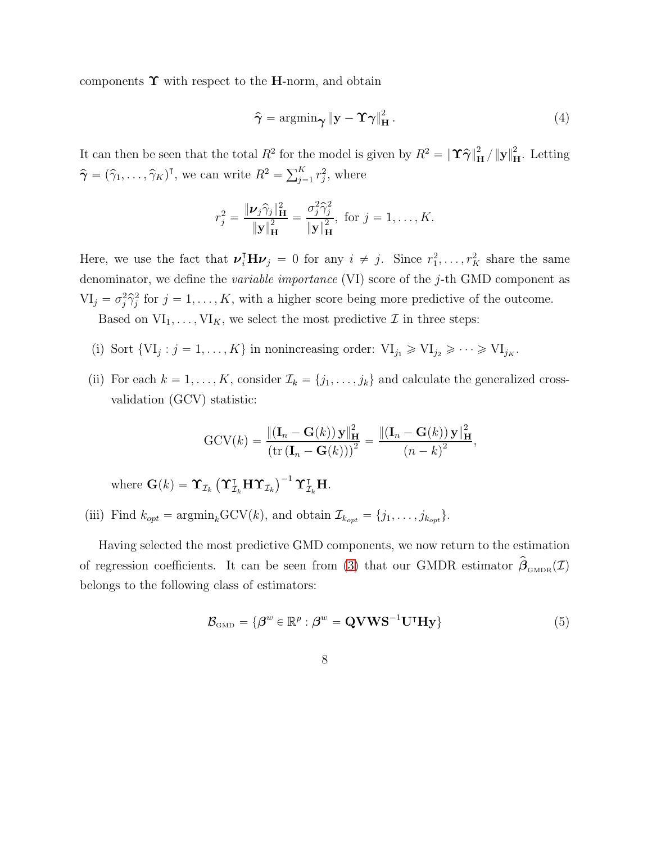components  $\Upsilon$  with respect to the H-norm, and obtain

<span id="page-7-1"></span>
$$
\hat{\gamma} = \operatorname{argmin}_{\gamma} \|\mathbf{y} - \mathbf{\hat{\gamma}}\|_{\mathbf{H}}^{2}.
$$
\n(4)

It can then be seen that the total  $R^2$  for the model is given by  $R^2 = {\|\Upsilon \hat{\gamma}\|}_{\mathbf{H}}^2 / {\|\mathbf{y}\|}_{\mathbf{H}}^2$ . Letting  $\hat{\boldsymbol{\gamma}} = (\hat{\gamma}_1, \dots, \hat{\gamma}_K)^{\mathsf{T}},$  we can write  $R^2 = \sum_{j=1}^K r_j^2$  $j^2$ , where

$$
r_j^2 = \frac{\|\boldsymbol{\nu}_j \hat{\gamma}_j\|_{\mathbf{H}}^2}{\|\mathbf{y}\|_{\mathbf{H}}^2} = \frac{\sigma_j^2 \hat{\gamma}_j^2}{\|\mathbf{y}\|_{\mathbf{H}}^2}, \text{ for } j = 1, \dots, K.
$$

Here, we use the fact that  $\nu_i^{\mathsf{T}} \mathbf{H} \nu_j = 0$  for any  $i \neq j$ . Since  $r_1^2, \ldots, r_K^2$  share the same denominator, we define the *variable importance* (VI) score of the j-th GMD component as  $VI_j = \sigma_j^2 \hat{\gamma}_j^2$  $j<sup>2</sup>$  for  $j = 1, ..., K$ , with a higher score being more predictive of the outcome. Based on  $VI_1, \ldots, VI_K$ , we select the most predictive  $\mathcal I$  in three steps:

- (i) Sort  $\{VI_j : j = 1, ..., K\}$  in nonincreasing order:  $VI_{j_1} \geqslant VI_{j_2} \geqslant \cdots \geqslant VI_{j_K}$ .
- (ii) For each  $k = 1, ..., K$ , consider  $\mathcal{I}_k = \{j_1, ..., j_k\}$  and calculate the generalized crossvalidation (GCV) statistic:

$$
GCV(k) = \frac{\left\| \left( \mathbf{I}_n - \mathbf{G}(k) \right) \mathbf{y} \right\|_{\mathbf{H}}^2}{\left( \text{tr} \left( \mathbf{I}_n - \mathbf{G}(k) \right) \right)^2} = \frac{\left\| \left( \mathbf{I}_n - \mathbf{G}(k) \right) \mathbf{y} \right\|_{\mathbf{H}}^2}{\left( n - k \right)^2},
$$

where  $\mathbf{G}(k) = \mathbf{\Upsilon}_{\mathcal{I}_k} \left( \mathbf{\Upsilon}_{\mathcal{I}_k}^{\intercal} \mathbf{H} \mathbf{\Upsilon}_{\mathcal{I}_k} \right)^{-1} \mathbf{\Upsilon}_{\mathcal{I}_k}^{\intercal} \mathbf{H}$ .

(iii) Find  $k_{opt} = \text{argmin}_{k} \text{GCV}(k)$ , and obtain  $\mathcal{I}_{k_{opt}} = \{j_1, \ldots, j_{k_{opt}}\}.$ 

Having selected the most predictive GMD components, we now return to the estimation of regression coefficients. It can be seen from [\(3\)](#page-6-0) that our GMDR estimator  $\beta_{\text{\tiny GMDR}}(\mathcal{I})$ belongs to the following class of estimators:

$$
\mathcal{B}_{\text{GMD}} = \{ \boldsymbol{\beta}^w \in \mathbb{R}^p : \boldsymbol{\beta}^w = \mathbf{Q} \mathbf{V} \mathbf{W} \mathbf{S}^{-1} \mathbf{U}^{\mathsf{T}} \mathbf{H} \mathbf{y} \}
$$
(5)

<span id="page-7-0"></span>8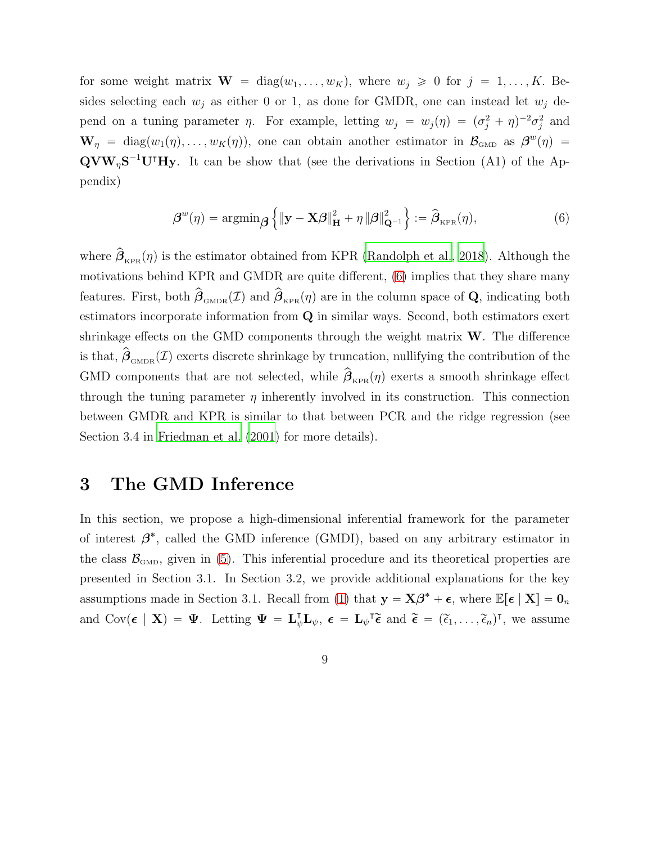for some weight matrix  $\mathbf{W} = \text{diag}(w_1, \dots, w_K)$ , where  $w_j \geq 0$  for  $j = 1, \dots, K$ . Besides selecting each  $w_j$  as either 0 or 1, as done for GMDR, one can instead let  $w_j$  depend on a tuning parameter  $\eta$ . For example, letting  $w_j = w_j(\eta) = (\sigma_j^2 + \eta)^{-2} \sigma_j^2$  $j<sup>2</sup>$  and  $\mathbf{W}_{\eta}$  = diag $(w_1(\eta), \ldots, w_K(\eta))$ , one can obtain another estimator in  $\mathcal{B}_{\text{GMD}}$  as  $\boldsymbol{\beta}^w(\eta)$  =  $\mathbf{Q} \mathbf{V} \mathbf{W}_{\eta} \mathbf{S}^{-1} \mathbf{U}^{\dagger} \mathbf{H} \mathbf{y}$ . It can be show that (see the derivations in Section (A1) of the Appendix)

<span id="page-8-0"></span>
$$
\boldsymbol{\beta}^{w}(\eta) = \operatorname{argmin}_{\boldsymbol{\beta}} \left\{ \|\mathbf{y} - \mathbf{X}\boldsymbol{\beta}\|_{\mathbf{H}}^{2} + \eta \left\|\boldsymbol{\beta}\right\|_{\mathbf{Q}^{-1}}^{2} \right\} := \widehat{\boldsymbol{\beta}}_{\text{KPR}}(\eta),
$$
\n(6)

where  $\beta_{KPR}(\eta)$  is the estimator obtained from KPR [\(Randolph et al.](#page-43-1), [2018\)](#page-43-1). Although the motivations behind KPR and GMDR are quite different, [\(6\)](#page-8-0) implies that they share many features. First, both  $\hat{\boldsymbol{\beta}}_{\text{\tiny GMDR}}(\mathcal{I})$  and  $\hat{\boldsymbol{\beta}}_{\text{\tiny KPR}}(\eta)$  are in the column space of **Q**, indicating both estimators incorporate information from Q in similar ways. Second, both estimators exert shrinkage effects on the GMD components through the weight matrix  $W$ . The difference is that,  $\hat{\boldsymbol{\beta}}_{\text{GMDR}}(\mathcal{I})$  exerts discrete shrinkage by truncation, nullifying the contribution of the GMD components that are not selected, while  $\beta_{\text{\tiny KPR}}(\eta)$  exerts a smooth shrinkage effect through the tuning parameter  $\eta$  inherently involved in its construction. This connection between GMDR and KPR is similar to that between PCR and the ridge regression (see Section 3.4 in [Friedman et al. \(2001](#page-42-5)) for more details).

## 3 The GMD Inference

In this section, we propose a high-dimensional inferential framework for the parameter of interest  $\beta^*$ , called the GMD inference (GMDI), based on any arbitrary estimator in the class  $\mathcal{B}_{\text{GMD}}$ , given in [\(5\)](#page-7-0). This inferential procedure and its theoretical properties are presented in Section 3.1. In Section 3.2, we provide additional explanations for the key assumptions made in Section 3.1. Recall from [\(1\)](#page-1-0) that  $y = X\beta^* + \epsilon$ , where  $\mathbb{E}[\epsilon | X] = 0_n$ and  $Cov(\epsilon \mid \mathbf{X}) = \mathbf{\Psi}$ . Letting  $\mathbf{\Psi} = \mathbf{L}_{\psi}^{\mathsf{T}} \mathbf{L}_{\psi}, \ \epsilon = \mathbf{L}_{\psi}^{\mathsf{T}} \widetilde{\epsilon}$  and  $\widetilde{\epsilon} = (\widetilde{\epsilon}_1, \ldots, \widetilde{\epsilon}_n)^{\mathsf{T}}$ , we assume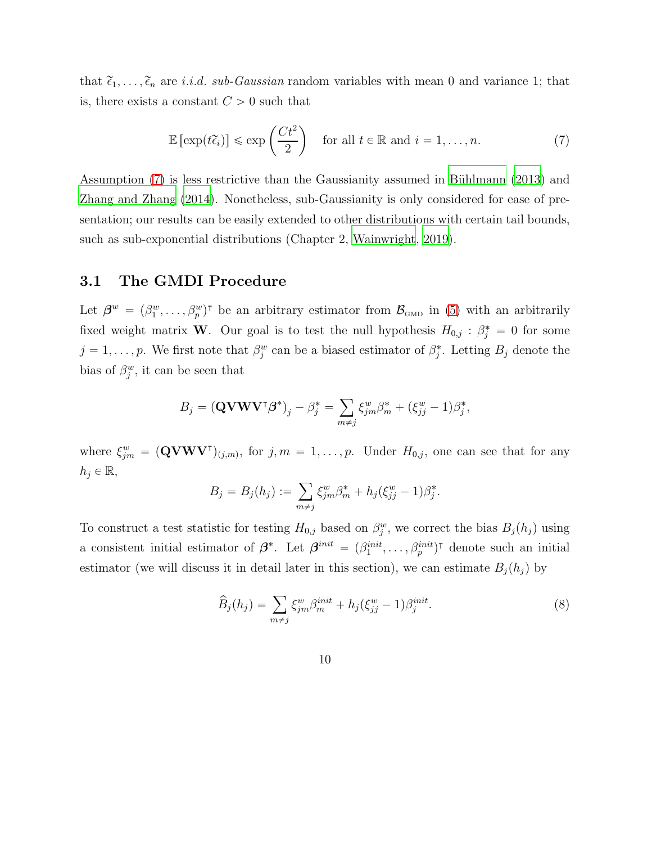that  $\tilde{\epsilon}_1, \ldots, \tilde{\epsilon}_n$  are *i.i.d. sub-Gaussian* random variables with mean 0 and variance 1; that is, there exists a constant  $C > 0$  such that

<span id="page-9-0"></span>
$$
\mathbb{E}\left[\exp(t\widetilde{\epsilon}_i)\right] \leq \exp\left(\frac{Ct^2}{2}\right) \quad \text{for all } t \in \mathbb{R} \text{ and } i = 1, \dots, n. \tag{7}
$$

Assumption [\(7\)](#page-9-0) is less restrictive than the Gaussianity assumed in Bühlmann (2013) and [Zhang and Zhang \(2014](#page-44-1)). Nonetheless, sub-Gaussianity is only considered for ease of presentation; our results can be easily extended to other distributions with certain tail bounds, such as sub-exponential distributions (Chapter 2, [Wainwright](#page-44-4), [2019](#page-44-4)).

### 3.1 The GMDI Procedure

Let  $\beta^w = (\beta_1^w, \ldots, \beta_p^w)$ <sup>T</sup> be an arbitrary estimator from  $\mathcal{B}_{\text{GMD}}$  in [\(5\)](#page-7-0) with an arbitrarily fixed weight matrix **W**. Our goal is to test the null hypothesis  $H_{0,j}$ :  $\beta_j^* = 0$  for some  $j = 1, \ldots, p$ . We first note that  $\beta_j^w$  can be a biased estimator of  $\beta_j^*$ . Letting  $B_j$  denote the bias of  $\beta_j^w$ , it can be seen that

$$
B_j = (\mathbf{Q} \mathbf{V} \mathbf{W} \mathbf{V}^\mathsf{T} \boldsymbol{\beta}^*)_j - \beta_j^* = \sum_{m \neq j} \xi_{jm}^w \beta_m^* + (\xi_{jj}^w - 1)\beta_j^*,
$$

where  $\xi_{jm}^w = (\mathbf{QVWV}^{\mathsf{T}})_{(j,m)}$ , for  $j, m = 1, \ldots, p$ . Under  $H_{0,j}$ , one can see that for any  $h_j \in \mathbb{R}$ ,

$$
B_j = B_j(h_j) := \sum_{m \neq j} \xi_{jm}^w \beta_m^* + h_j(\xi_{jj}^w - 1)\beta_j^*.
$$

To construct a test statistic for testing  $H_{0,j}$  based on  $\beta_j^w$ , we correct the bias  $B_j(h_j)$  using a consistent initial estimator of  $\beta^*$ . Let  $\beta^{init} = (\beta_1^{init}, \dots, \beta_p^{init})^{\dagger}$  denote such an initial estimator (we will discuss it in detail later in this section), we can estimate  $B_j(h_j)$  by

$$
\widehat{B}_j(h_j) = \sum_{m \neq j} \xi_{jm}^w \beta_m^{init} + h_j(\xi_{jj}^w - 1)\beta_j^{init}.\tag{8}
$$

10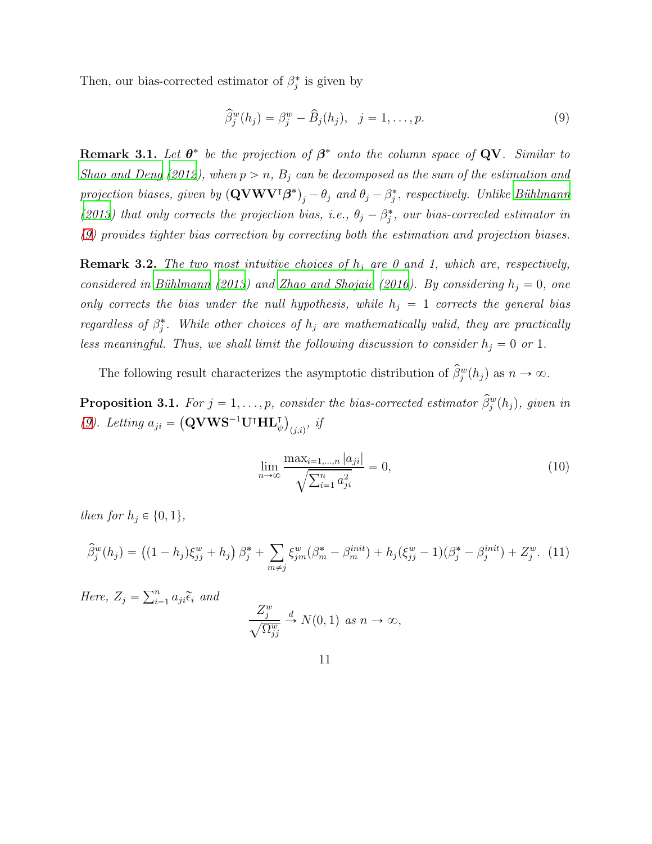Then, our bias-corrected estimator of  $\beta_j^*$  is given by

<span id="page-10-0"></span>
$$
\widehat{\beta}_j^w(h_j) = \beta_j^w - \widehat{B}_j(h_j), \quad j = 1, \dots, p. \tag{9}
$$

**Remark 3.1.** Let  $\theta^*$  be the projection of  $\beta^*$  onto the column space of QV. Similar to *[Shao and Deng \(2012](#page-43-2)), when*  $p > n$ ,  $B<sub>j</sub>$  *can be decomposed as the sum of the estimation and projection biases, given by*  $(QVWV^{\dagger}\beta^*)_j - \theta_j$  *and*  $\theta_j - \beta_j^*$ *, respectively. Unlike Bühlmann* [\(2013\)](#page-41-0) that only corrects the projection bias, i.e.,  $\theta_j - \beta_j^*$ , our bias-corrected estimator in *[\(9\)](#page-10-0) provides tighter bias correction by correcting both the estimation and projection biases.*

Remark 3.2. *The two most intuitive choices of* h<sup>j</sup> *are 0 and 1, which are, respectively, considered in Bühlmann (2013) and [Zhao and Shojaie \(2016\)](#page-45-0). By considering*  $h_i = 0$ , one *only corrects the bias under the null hypothesis, while*  $h_i = 1$  *corrects the general bias regardless of*  $\beta_j^*$ . While other choices of  $h_j$  are mathematically valid, they are practically *less meaningful. Thus, we shall limit the following discussion to consider*  $h_j = 0$  *or* 1*.* 

The following result characterizes the asymptotic distribution of  $\beta_j^w(h_j)$  as  $n \to \infty$ .

<span id="page-10-1"></span>**Proposition 3.1.** *For*  $j = 1, \ldots, p$ , consider the bias-corrected estimator  $\hat{\beta}_j^w(h_j)$ , given in [\(9\)](#page-10-0)*.* Letting  $a_{ji} = (\mathbf{QVWS}^{-1}\mathbf{U}^{\mathsf{T}}\mathbf{HL}_{\psi}^{\mathsf{T}})_{(j,i)},$  if

<span id="page-10-3"></span><span id="page-10-2"></span>
$$
\lim_{n \to \infty} \frac{\max_{i=1,\dots,n} |a_{ji}|}{\sqrt{\sum_{i=1}^n a_{ji}^2}} = 0,
$$
\n(10)

*then for*  $h_j \in \{0, 1\}$ ,

$$
\widehat{\beta}_j^w(h_j) = ((1-h_j)\xi_{jj}^w + h_j) \beta_j^* + \sum_{m \neq j} \xi_{jm}^w(\beta_m^* - \beta_m^{init}) + h_j(\xi_{jj}^w - 1)(\beta_j^* - \beta_j^{init}) + Z_j^w. \tag{11}
$$

*Here,*  $Z_j = \sum_{i=1}^n a_{ji} \tilde{\epsilon}_i$  and

$$
\frac{Z_j^w}{\sqrt{\Omega_{jj}^w}} \stackrel{d}{\to} N(0, 1) \text{ as } n \to \infty,
$$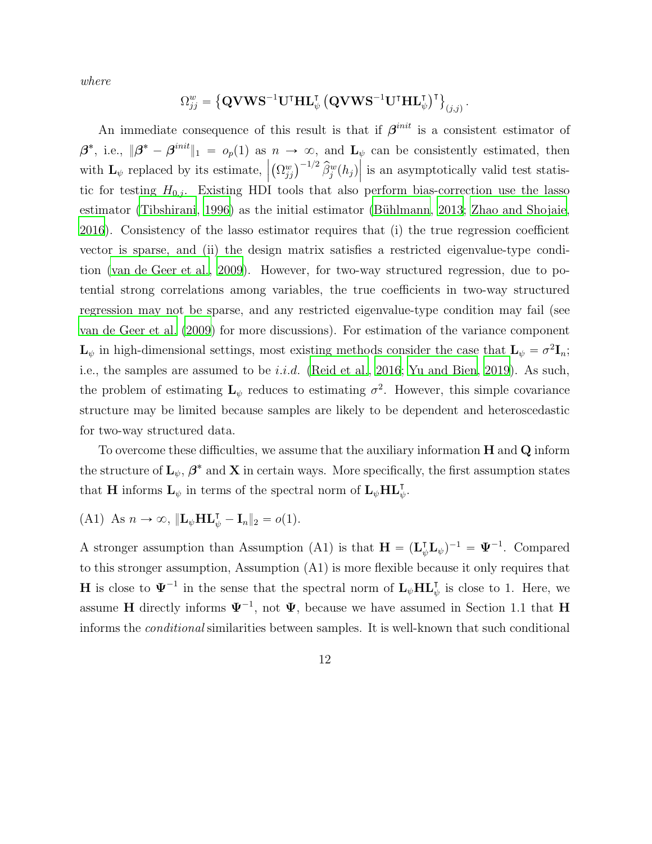*where*

$$
\Omega_{jj}^{w}=\left\{\mathbf{Q}\mathbf{V}\mathbf{W}\mathbf{S}^{-1}\mathbf{U}^{\intercal}\mathbf{H}\mathbf{L}_{\psi}^{\intercal}\left(\mathbf{Q}\mathbf{V}\mathbf{W}\mathbf{S}^{-1}\mathbf{U}^{\intercal}\mathbf{H}\mathbf{L}_{\psi}^{\intercal}\right)^{\intercal}\right\}_{(j,j)}
$$

.

An immediate consequence of this result is that if  $\beta^{init}$  is a consistent estimator of  $\beta^*$ , i.e.,  $\|\beta^* - \beta^{init}\|_1 = o_p(1)$  as  $n \to \infty$ , and  $\mathbf{L}_{\psi}$  can be consistently estimated, then with  $\mathbf{L}_{\psi}$  replaced by its estimate,  $\Big|$  $(\Omega_{jj}^w)^{-1/2} \hat{\beta}_j^w(h_j)$  is an asymptotically valid test statistic for testing  $H_{0,j}$ . Existing HDI tools that also perform bias-correction use the lasso estimator [\(Tibshirani](#page-43-3), [1996\)](#page-43-3) as the initial estimator (Bühlmann, [2013](#page-41-0); [Zhao and Shojaie](#page-45-0), [2016](#page-45-0)). Consistency of the lasso estimator requires that (i) the true regression coefficient vector is sparse, and (ii) the design matrix satisfies a restricted eigenvalue-type condition [\(van de Geer et al.](#page-44-3), [2009\)](#page-44-3). However, for two-way structured regression, due to potential strong correlations among variables, the true coefficients in two-way structured regression may not be sparse, and any restricted eigenvalue-type condition may fail (see [van de Geer et al. \(2009](#page-44-3)) for more discussions). For estimation of the variance component  $\mathbf{L}_{\psi}$  in high-dimensional settings, most existing methods consider the case that  $\mathbf{L}_{\psi} = \sigma^2 \mathbf{I}_n$ ; i.e., the samples are assumed to be i.i.d. [\(Reid et al., 2016;](#page-43-4) [Yu and Bien](#page-44-5), [2019\)](#page-44-5). As such, the problem of estimating  $\mathbf{L}_{\psi}$  reduces to estimating  $\sigma^2$ . However, this simple covariance structure may be limited because samples are likely to be dependent and heteroscedastic for two-way structured data.

To overcome these difficulties, we assume that the auxiliary information  $H$  and  $Q$  inform the structure of  $\mathbf{L}_{\psi}, \boldsymbol{\beta}^*$  and  $\mathbf{X}$  in certain ways. More specifically, the first assumption states that **H** informs  $\mathbf{L}_{\psi}$  in terms of the spectral norm of  $\mathbf{L}_{\psi} \mathbf{H} \mathbf{L}_{\psi}^{\mathsf{T}}$ .

(A1) As 
$$
n \to \infty
$$
,  $\|\mathbf{L}_{\psi} \mathbf{H} \mathbf{L}_{\psi}^{\mathsf{T}} - \mathbf{I}_{n} \|_{2} = o(1)$ .

A stronger assumption than Assumption (A1) is that  $\mathbf{H} = (\mathbf{L}_{\psi}^{\mathsf{T}} \mathbf{L}_{\psi})^{-1} = \mathbf{\Psi}^{-1}$ . Compared to this stronger assumption, Assumption (A1) is more flexible because it only requires that **H** is close to  $\Psi^{-1}$  in the sense that the spectral norm of  $\mathbf{L}_{\psi} \mathbf{H} \mathbf{L}_{\psi}^{\mathsf{T}}$  is close to 1. Here, we assume **H** directly informs  $\Psi^{-1}$ , not  $\Psi$ , because we have assumed in Section 1.1 that **H** informs the *conditional* similarities between samples. It is well-known that such conditional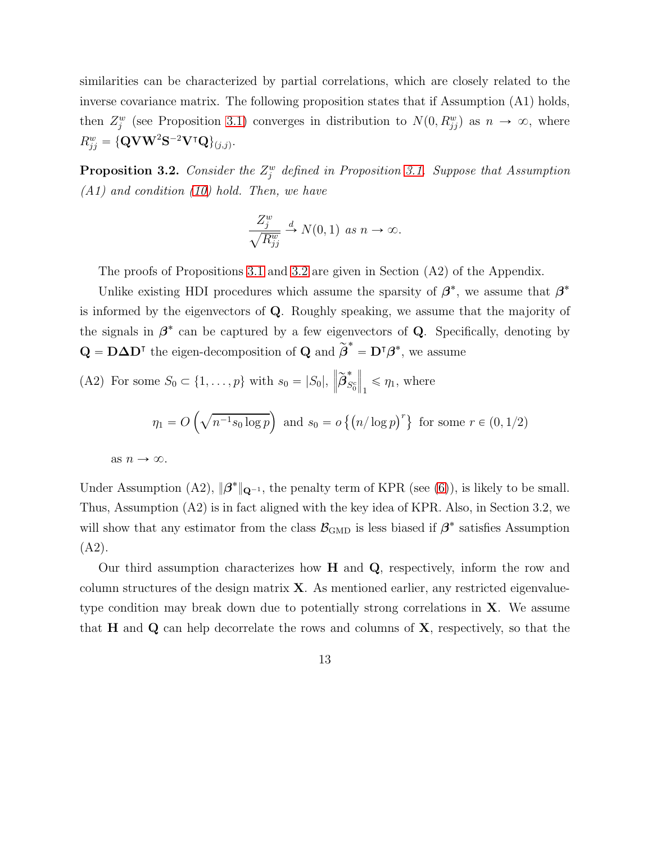similarities can be characterized by partial correlations, which are closely related to the inverse covariance matrix. The following proposition states that if Assumption (A1) holds, then  $Z_j^w$  (see Proposition [3.1\)](#page-10-1) converges in distribution to  $N(0, R_{jj}^w)$  as  $n \to \infty$ , where  $R_{jj}^w = {\mathbf{{\{\mathbf{Q}}\mathbf{V}}\mathbf{W}^2\mathbf{S}^{-2}\mathbf{V}^\intercal\mathbf{Q}}\}_{(j,j)}.$ 

<span id="page-12-0"></span>**Proposition 3.2.** *Consider the*  $Z_j^w$  *defined in Proposition [3.1.](#page-10-1) Suppose that Assumption (A1) and condition [\(10\)](#page-10-2) hold. Then, we have*

$$
\frac{Z_j^w}{\sqrt{R_{jj}^w}} \xrightarrow{d} N(0,1) \text{ as } n \to \infty.
$$

The proofs of Propositions [3.1](#page-10-1) and [3.2](#page-12-0) are given in Section (A2) of the Appendix.

Unlike existing HDI procedures which assume the sparsity of  $\beta^*$ , we assume that  $\beta^*$ is informed by the eigenvectors of Q. Roughly speaking, we assume that the majority of the signals in  $\beta^*$  can be captured by a few eigenvectors of Q. Specifically, denoting by  $\mathbf{Q} = \mathbf{D} \mathbf{\Delta} \mathbf{D}^{\mathsf{T}}$  the eigen-decomposition of  $\mathbf{Q}$  and  $\widetilde{\boldsymbol{\beta}}^* = \mathbf{D}^{\mathsf{T}} \boldsymbol{\beta}^*$ , we assume

(A2) For some 
$$
S_0 \subset \{1, ..., p\}
$$
 with  $s_0 = |S_0|$ ,  $\left\|\widetilde{\beta}_{S_0^c}^*\right\|_1 \le \eta_1$ , where  
\n
$$
\eta_1 = O\left(\sqrt{n^{-1}s_0 \log p}\right) \text{ and } s_0 = o\left\{\left(n/\log p\right)^r\right\} \text{ for some } r \in (0, 1/2)
$$
\nas  $n \to \infty$ .

Under Assumption (A2),  $\|\beta^*\|_{\mathbf{Q}^{-1}}$ , the penalty term of KPR (see [\(6\)](#page-8-0)), is likely to be small. Thus, Assumption (A2) is in fact aligned with the key idea of KPR. Also, in Section 3.2, we will show that any estimator from the class  $\mathcal{B}_{\text{GMD}}$  is less biased if  $\beta^*$  satisfies Assumption (A2).

Our third assumption characterizes how  $H$  and  $Q$ , respectively, inform the row and column structures of the design matrix  $X$ . As mentioned earlier, any restricted eigenvaluetype condition may break down due to potentially strong correlations in X. We assume that  $H$  and  $Q$  can help decorrelate the rows and columns of  $X$ , respectively, so that the

13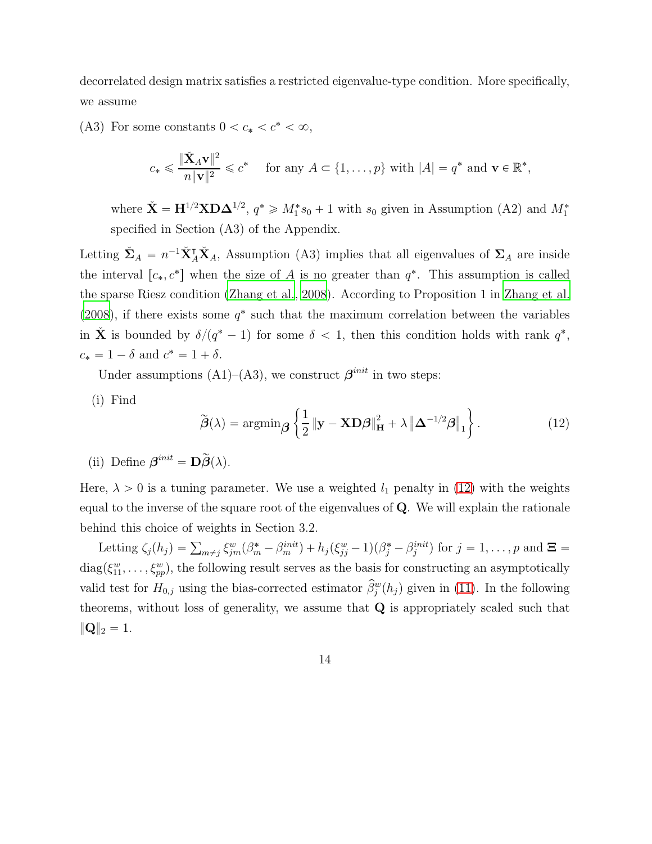decorrelated design matrix satisfies a restricted eigenvalue-type condition. More specifically, we assume

(A3) For some constants  $0 < c_* < c^* < \infty$ ,

$$
c_* \leq \frac{\|\check{\mathbf{X}}_A \mathbf{v}\|^2}{n \|\mathbf{v}\|^2} \leq c^* \quad \text{ for any } A \subset \{1, \dots, p\} \text{ with } |A| = q^* \text{ and } \mathbf{v} \in \mathbb{R}^*,
$$

where  $\check{\mathbf{X}} = \mathbf{H}^{1/2} \mathbf{X} \mathbf{D} \mathbf{\Delta}^{1/2}$ ,  $q^* \geq M_1^* s_0 + 1$  with  $s_0$  given in Assumption (A2) and  $M_1^*$ specified in Section (A3) of the Appendix.

Letting  $\check{\Sigma}_A = n^{-1}\check{\mathbf{X}}_A^{\mathsf{T}}\check{\mathbf{X}}_A$ , Assumption (A3) implies that all eigenvalues of  $\Sigma_A$  are inside the interval  $[c_*, c^*]$  when the size of A is no greater than  $q^*$ . This assumption is called the sparse Riesz condition [\(Zhang et al., 2008\)](#page-44-6). According to Proposition 1 in [Zhang et al.](#page-44-6) [\(2008\)](#page-44-6), if there exists some  $q^*$  such that the maximum correlation between the variables in  $\check{\mathbf{X}}$  is bounded by  $\delta/(q^*-1)$  for some  $\delta < 1$ , then this condition holds with rank  $q^*$ ,  $c_* = 1 - \delta$  and  $c^* = 1 + \delta$ .

Under assumptions (A1)–(A3), we construct  $\boldsymbol{\beta}^{init}$  in two steps:

(i) Find

<span id="page-13-0"></span>
$$
\widetilde{\boldsymbol{\beta}}(\lambda) = \operatorname{argmin}_{\boldsymbol{\beta}} \left\{ \frac{1}{2} \left\| \mathbf{y} - \mathbf{X} \mathbf{D} \boldsymbol{\beta} \right\|_{\mathbf{H}}^2 + \lambda \left\| \boldsymbol{\Delta}^{-1/2} \boldsymbol{\beta} \right\|_1 \right\}.
$$
 (12)

(ii) Define  $\beta^{init} = \mathbf{D}\widetilde{\beta}(\lambda)$ .

Here,  $\lambda > 0$  is a tuning parameter. We use a weighted  $l_1$  penalty in [\(12\)](#page-13-0) with the weights equal to the inverse of the square root of the eigenvalues of Q. We will explain the rationale behind this choice of weights in Section 3.2.

Letting  $\zeta_j(h_j) = \sum_{m \neq j} \xi_{jm}^w(\beta_m^* - \beta_m^{init}) + h_j(\xi_{jj}^w - 1)(\beta_j^* - \beta_j^{init})$  for  $j = 1, ..., p$  and  $\Xi =$  $diag(\xi_{11}^w, \ldots, \xi_{pp}^w)$ , the following result serves as the basis for constructing an asymptotically valid test for  $H_{0,j}$  using the bias-corrected estimator  $\beta_j^w(h_j)$  given in [\(11\)](#page-10-3). In the following theorems, without loss of generality, we assume that  $Q$  is appropriately scaled such that  $\|{\bf Q}\|_2 = 1.$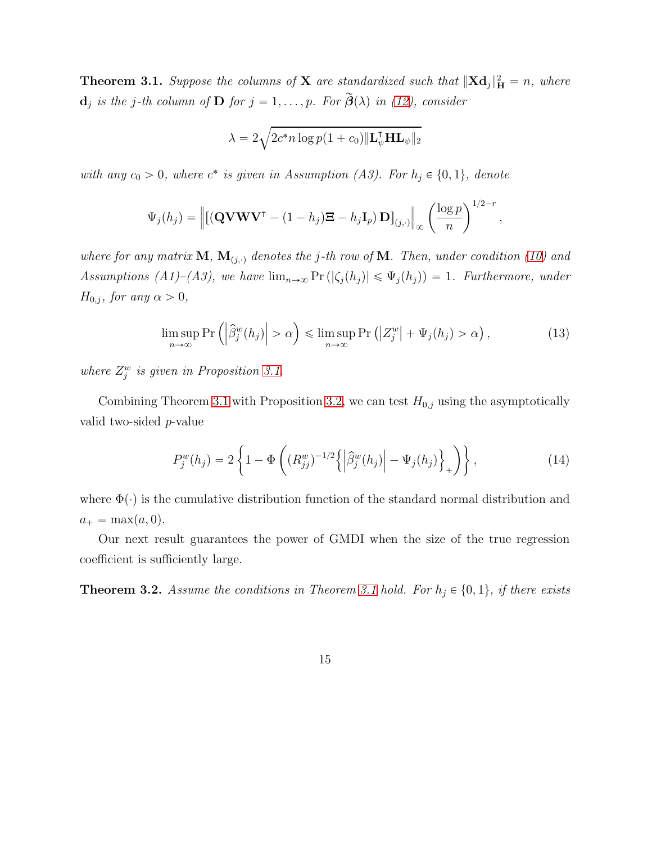<span id="page-14-0"></span>**Theorem 3.1.** Suppose the columns of **X** are standardized such that  $||\mathbf{X}\mathbf{d}_j||_H^2 = n$ , where  $\mathbf{d}_j$  *is the j-th column of*  $\mathbf{D}$  *for*  $j = 1, \ldots, p$ *. For*  $\mathbf{\beta}(\lambda)$  *in* [\(12\)](#page-13-0)*, consider* 

$$
\lambda = 2\sqrt{2c^*n\log p(1+c_0)\|\mathbf{L}_\psi^\mathsf{T}\mathbf{H}\mathbf{L}_\psi\|_2}
$$

with any  $c_0 > 0$ , where  $c^*$  is given in Assumption (A3). For  $h_j \in \{0, 1\}$ , denote

$$
\Psi_j(h_j) = \left\| \left[ (\mathbf{Q} \mathbf{V} \mathbf{W} \mathbf{V}^\mathsf{T} - (1-h_j) \mathbf{\Xi} - h_j \mathbf{I}_p) \mathbf{D} \right]_{(j,\cdot)} \right\|_{\infty} \left( \frac{\log p}{n} \right)^{1/2-r},
$$

*where for any matrix*  $M$ *,*  $M$ <sub>(j,</sub>)</sub> *denotes the* j-th row of M*. Then, under condition* [\(10\)](#page-10-2) and *Assumptions (A1)–(A3), we have*  $\lim_{n\to\infty} \Pr(|\zeta_j(h_j)| \leq \Psi_j(h_j)) = 1$ . Furthermore, under  $H_{0,j}$ *, for any*  $\alpha > 0$ *,* 

<span id="page-14-2"></span>
$$
\limsup_{n \to \infty} \Pr\left( \left| \widehat{\beta}_j^w(h_j) \right| > \alpha \right) \le \limsup_{n \to \infty} \Pr\left( \left| Z_j^w \right| + \Psi_j(h_j) > \alpha \right),\tag{13}
$$

where  $Z_j^w$  is given in Proposition [3.1.](#page-10-1)

Combining Theorem [3.1](#page-14-0) with Proposition [3.2,](#page-12-0) we can test  $H_{0,j}$  using the asymptotically valid two-sided p-value

$$
P_j^w(h_j) = 2\left\{1 - \Phi\left( (R_{jj}^w)^{-1/2} \left\{ \left| \hat{\beta}_j^w(h_j) \right| - \Psi_j(h_j) \right\}_+ \right) \right\},\tag{14}
$$

where  $\Phi(\cdot)$  is the cumulative distribution function of the standard normal distribution and  $a_+ = \max(a, 0).$ 

Our next result guarantees the power of GMDI when the size of the true regression coefficient is sufficiently large.

<span id="page-14-1"></span>**Theorem 3.2.** Assume the conditions in Theorem [3.1](#page-14-0) hold. For  $h_j \in \{0, 1\}$ , if there exists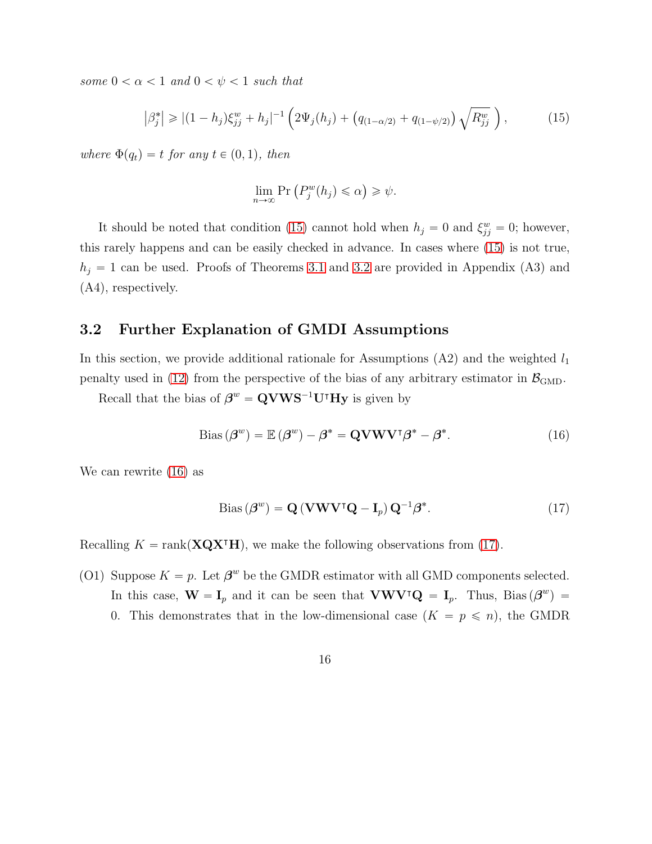*some*  $0 < \alpha < 1$  *and*  $0 < \psi < 1$  *such that* 

<span id="page-15-0"></span>
$$
\left|\beta_j^*\right| \geqslant \left|(1-h_j)\xi_{jj}^w + h_j\right|^{-1} \left(2\Psi_j(h_j) + \left(q_{(1-\alpha/2)} + q_{(1-\psi/2)}\right)\sqrt{R_{jj}^w}\right),\tag{15}
$$

*where*  $\Phi(q_t) = t$  *for any*  $t \in (0, 1)$ *, then* 

$$
\lim_{n \to \infty} \Pr\left(P_j^w(h_j) \leq \alpha\right) \geq \psi.
$$

It should be noted that condition [\(15\)](#page-15-0) cannot hold when  $h_j = 0$  and  $\xi_{jj}^w = 0$ ; however, this rarely happens and can be easily checked in advance. In cases where [\(15\)](#page-15-0) is not true,  $h_j = 1$  can be used. Proofs of Theorems [3.1](#page-14-0) and [3.2](#page-14-1) are provided in Appendix (A3) and (A4), respectively.

#### 3.2 Further Explanation of GMDI Assumptions

In this section, we provide additional rationale for Assumptions  $(A2)$  and the weighted  $l_1$ penalty used in [\(12\)](#page-13-0) from the perspective of the bias of any arbitrary estimator in  $\mathcal{B}_{\text{GMD}}$ .

Recall that the bias of  $\beta^w = \mathbf{QVWS}^{-1}\mathbf{U}^{\dagger}\mathbf{Hy}$  is given by

<span id="page-15-1"></span>Bias 
$$
(\beta^w)
$$
 =  $\mathbb{E}(\beta^w) - \beta^* = \mathbf{Q} \mathbf{V} \mathbf{W} \mathbf{V}^{\dagger} \beta^* - \beta^*$ . (16)

We can rewrite [\(16\)](#page-15-1) as

<span id="page-15-2"></span>Bias 
$$
(\beta^w)
$$
 =  $\mathbf{Q} (\mathbf{V}\mathbf{W}\mathbf{V}^\intercal \mathbf{Q} - \mathbf{I}_p) \mathbf{Q}^{-1} \beta^*$ . (17)

Recalling  $K = \text{rank}(\mathbf{XQX}^{\mathsf{T}}\mathbf{H})$ , we make the following observations from [\(17\)](#page-15-2).

(O1) Suppose  $K = p$ . Let  $\beta^w$  be the GMDR estimator with all GMD components selected. In this case,  $\mathbf{W} = \mathbf{I}_p$  and it can be seen that  $\mathbf{V}\mathbf{W}\mathbf{V}^\intercal\mathbf{Q} = \mathbf{I}_p$ . Thus, Bias $(\beta^w)$  = 0. This demonstrates that in the low-dimensional case  $(K = p \le n)$ , the GMDR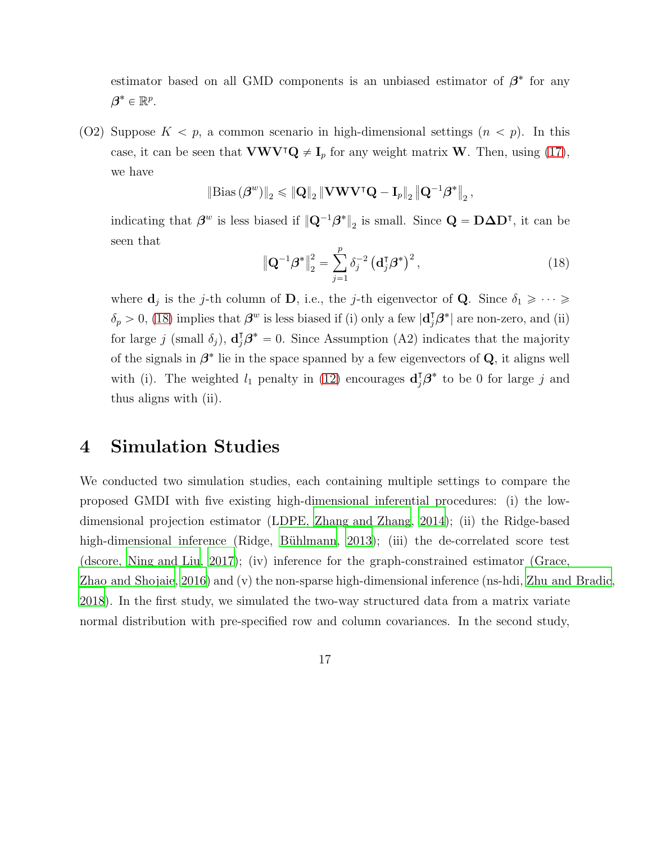estimator based on all GMD components is an unbiased estimator of  $\beta^*$  for any  $\boldsymbol{\beta}^* \in \mathbb{R}^p$ .

(O2) Suppose  $K < p$ , a common scenario in high-dimensional settings  $(n < p)$ . In this case, it can be seen that VWV⊺Q  $\neq I_p$  for any weight matrix W. Then, using [\(17\)](#page-15-2), we have

$$
\left\|\text{Bias}\left(\boldsymbol{\beta}^{w}\right)\right\|_{2} \leqslant \left\|\mathbf{Q}\right\|_{2} \left\|\mathbf{V}\mathbf{W}\mathbf{V}^{\intercal}\mathbf{Q}-\mathbf{I}_{p}\right\|_{2} \left\|\mathbf{Q}^{-1}\boldsymbol{\beta}^{*}\right\|_{2},
$$

indicating that  $\beta^w$  is less biased if  $\|\mathbf{Q}^{-1}\beta^*\|_2$  is small. Since  $\mathbf{Q} = \mathbf{D}\Delta\mathbf{D}^{\mathsf{T}}$ , it can be seen that

<span id="page-16-0"></span>
$$
\left\|\mathbf{Q}^{-1}\boldsymbol{\beta}^*\right\|_2^2 = \sum_{j=1}^p \delta_j^{-2} \left(\mathbf{d}_j^{\mathsf{T}}\boldsymbol{\beta}^*\right)^2,\tag{18}
$$

where  $\mathbf{d}_j$  is the j-th column of **D**, i.e., the j-th eigenvector of **Q**. Since  $\delta_1 \geqslant \cdots \geqslant$  $\delta_p > 0$ , [\(18\)](#page-16-0) implies that  $\boldsymbol{\beta}^w$  is less biased if (i) only a few  $|\mathbf{d}_j^{\dagger} \boldsymbol{\beta}^*|$  are non-zero, and (ii) for large j (small  $\delta_j$ ),  $\mathbf{d}_j^{\dagger} \boldsymbol{\beta}^* = 0$ . Since Assumption (A2) indicates that the majority of the signals in  $\beta^*$  lie in the space spanned by a few eigenvectors of Q, it aligns well with (i). The weighted  $l_1$  penalty in [\(12\)](#page-13-0) encourages  $\mathbf{d}_j^{\dagger} \boldsymbol{\beta}^*$  to be 0 for large j and thus aligns with (ii).

## 4 Simulation Studies

We conducted two simulation studies, each containing multiple settings to compare the proposed GMDI with five existing high-dimensional inferential procedures: (i) the lowdimensional projection estimator (LDPE, [Zhang and Zhang](#page-44-1), [2014\)](#page-44-1); (ii) the Ridge-based high-dimensional inference (Ridge, Bühlmann, [2013](#page-41-0)); (iii) the de-correlated score test (dscore, [Ning and Liu](#page-43-0), [2017\)](#page-43-0); (iv) inference for the graph-constrained estimator (Grace, [Zhao and Shojaie](#page-45-0), [2016\)](#page-45-0) and (v) the non-sparse high-dimensional inference (ns-hdi, [Zhu and Bradic,](#page-45-1) [2018](#page-45-1)). In the first study, we simulated the two-way structured data from a matrix variate normal distribution with pre-specified row and column covariances. In the second study,

17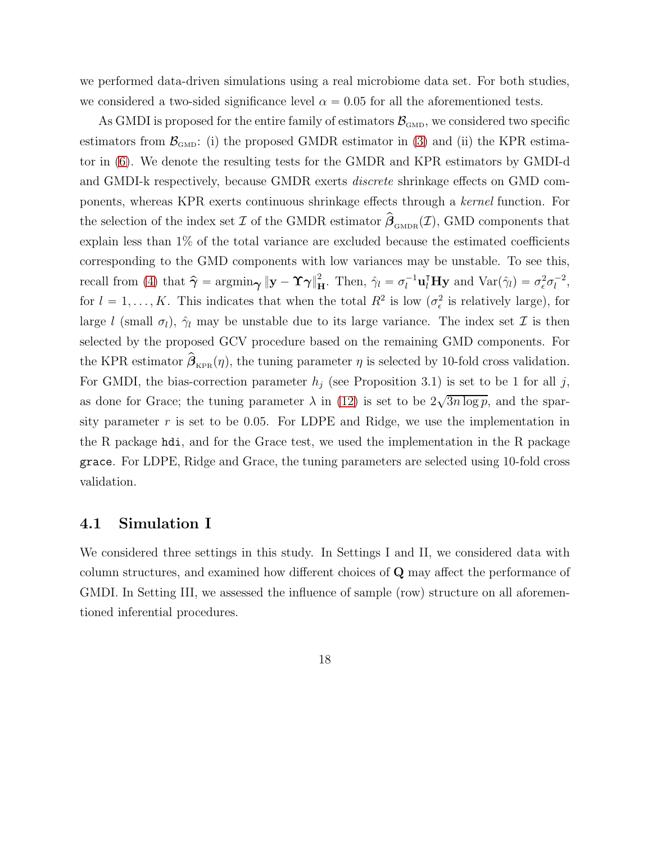we performed data-driven simulations using a real microbiome data set. For both studies, we considered a two-sided significance level  $\alpha = 0.05$  for all the aforementioned tests.

As GMDI is proposed for the entire family of estimators  $\mathcal{B}_{\text{GMD}}$ , we considered two specific estimators from  $\mathcal{B}_{GMD}$ : (i) the proposed GMDR estimator in [\(3\)](#page-6-0) and (ii) the KPR estimator in [\(6\)](#page-8-0). We denote the resulting tests for the GMDR and KPR estimators by GMDI-d and GMDI-k respectively, because GMDR exerts *discrete* shrinkage effects on GMD components, whereas KPR exerts continuous shrinkage effects through a *kernel* function. For the selection of the index set  $\mathcal I$  of the GMDR estimator  $\hat{\boldsymbol{\beta}}_{\text{\tiny GMDR}}(\mathcal I)$ , GMD components that explain less than 1% of the total variance are excluded because the estimated coefficients corresponding to the GMD components with low variances may be unstable. To see this, recall from [\(4\)](#page-7-1) that  $\hat{\boldsymbol{\gamma}} = \operatorname{argmin}_{\boldsymbol{\gamma}} \|\mathbf{y} - \mathbf{\hat{\gamma}}\|_{\mathbf{H}}^2$ . Then,  $\hat{\gamma}_l = \sigma_l^{-1} \mathbf{u}_l^{\mathsf{T}} \mathbf{H} \mathbf{y}$  and  $\text{Var}(\hat{\gamma}_l) = \sigma_\epsilon^2 \sigma_l^{-2}$  $\frac{1}{l}$ , for  $l = 1, ..., K$ . This indicates that when the total  $R^2$  is low  $(\sigma_{\epsilon}^2)$  $\frac{2}{\epsilon}$  is relatively large), for large l (small  $\sigma_l$ ),  $\hat{\gamma}_l$  may be unstable due to its large variance. The index set  $\mathcal I$  is then selected by the proposed GCV procedure based on the remaining GMD components. For the KPR estimator  $\beta_{KPR}(\eta)$ , the tuning parameter  $\eta$  is selected by 10-fold cross validation. For GMDI, the bias-correction parameter  $h_j$  (see Proposition 3.1) is set to be 1 for all j, as done for Grace; the tuning parameter  $\lambda$  in [\(12\)](#page-13-0) is set to be  $2\sqrt{3n\log p}$ , and the sparsity parameter  $r$  is set to be 0.05. For LDPE and Ridge, we use the implementation in the R package hdi, and for the Grace test, we used the implementation in the R package grace. For LDPE, Ridge and Grace, the tuning parameters are selected using 10-fold cross validation.

### 4.1 Simulation I

We considered three settings in this study. In Settings I and II, we considered data with column structures, and examined how different choices of Q may affect the performance of GMDI. In Setting III, we assessed the influence of sample (row) structure on all aforementioned inferential procedures.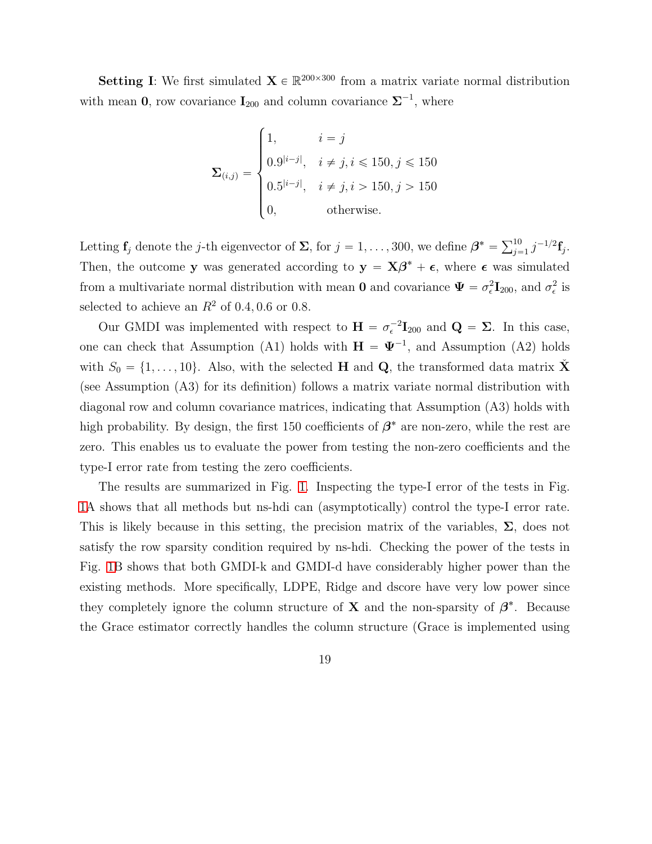**Setting I**: We first simulated  $\mathbf{X} \in \mathbb{R}^{200 \times 300}$  from a matrix variate normal distribution with mean 0, row covariance  $I_{200}$  and column covariance  $\Sigma^{-1}$ , where

$$
\mathbf{\Sigma}_{(i,j)} = \begin{cases} 1, & i = j \\ 0.9^{|i-j|}, & i \neq j, i \leq 150, j \leq 150 \\ 0.5^{|i-j|}, & i \neq j, i > 150, j > 150 \\ 0, & \text{otherwise.} \end{cases}
$$

Letting  $\mathbf{f}_j$  denote the j-th eigenvector of  $\Sigma$ , for  $j = 1, ..., 300$ , we define  $\boldsymbol{\beta}^* = \sum_{j=1}^{10} j^{-1/2} \mathbf{f}_j$ . Then, the outcome y was generated according to  $y = X\beta^* + \epsilon$ , where  $\epsilon$  was simulated from a multivariate normal distribution with mean **0** and covariance  $\Psi = \sigma_{\epsilon}^2$  $_{\epsilon}^{2}$ **I**<sub>200</sub>, and  $\sigma_{\epsilon}^{2}$  $_{\epsilon}^2$  is selected to achieve an  $R^2$  of 0.4, 0.6 or 0.8.

Our GMDI was implemented with respect to  $\mathbf{H} = \sigma_{\epsilon}^{-2} \mathbf{I}_{200}$  and  $\mathbf{Q} = \mathbf{\Sigma}$ . In this case, one can check that Assumption (A1) holds with  $\mathbf{H} = \mathbf{\Psi}^{-1}$ , and Assumption (A2) holds with  $S_0 = \{1, \ldots, 10\}$ . Also, with the selected **H** and **Q**, the transformed data matrix  $\check{\mathbf{X}}$ (see Assumption (A3) for its definition) follows a matrix variate normal distribution with diagonal row and column covariance matrices, indicating that Assumption (A3) holds with high probability. By design, the first 150 coefficients of  $\beta^*$  are non-zero, while the rest are zero. This enables us to evaluate the power from testing the non-zero coefficients and the type-I error rate from testing the zero coefficients.

The results are summarized in Fig. [1.](#page-19-0) Inspecting the type-I error of the tests in Fig. [1A](#page-19-0) shows that all methods but ns-hdi can (asymptotically) control the type-I error rate. This is likely because in this setting, the precision matrix of the variables,  $\Sigma$ , does not satisfy the row sparsity condition required by ns-hdi. Checking the power of the tests in Fig. [1B](#page-19-0) shows that both GMDI-k and GMDI-d have considerably higher power than the existing methods. More specifically, LDPE, Ridge and dscore have very low power since they completely ignore the column structure of **X** and the non-sparsity of  $\beta^*$ . Because the Grace estimator correctly handles the column structure (Grace is implemented using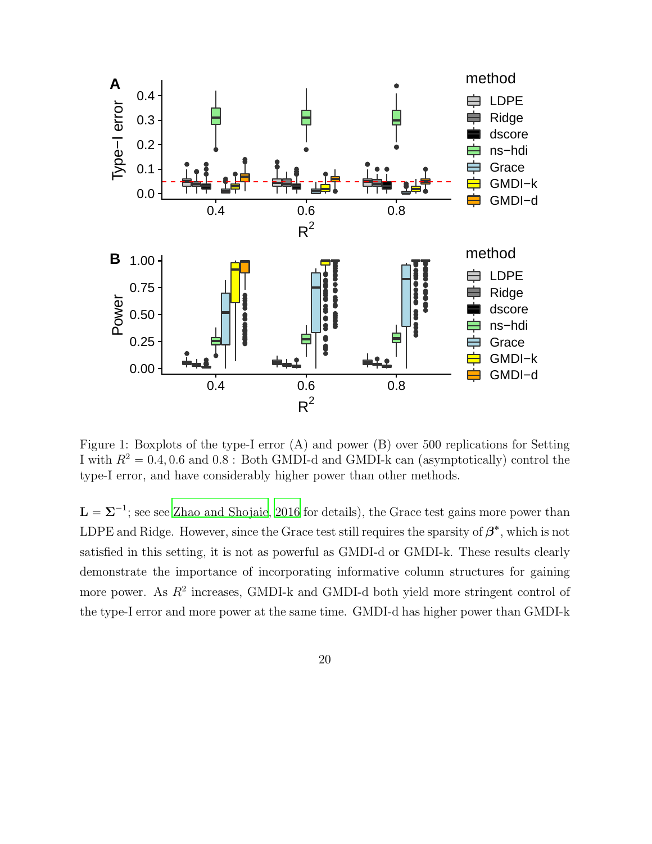

<span id="page-19-0"></span>Figure 1: Boxplots of the type-I error (A) and power (B) over 500 replications for Setting I with  $R^2 = 0.4, 0.6$  and  $0.8$ : Both GMDI-d and GMDI-k can (asymptotically) control the type-I error, and have considerably higher power than other methods.

 $\mathbf{L} = \mathbf{\Sigma}^{-1}$ ; see see [Zhao and Shojaie](#page-45-0), [2016](#page-45-0) for details), the Grace test gains more power than LDPE and Ridge. However, since the Grace test still requires the sparsity of  $\beta^*$ , which is not satisfied in this setting, it is not as powerful as GMDI-d or GMDI-k. These results clearly demonstrate the importance of incorporating informative column structures for gaining more power. As  $R^2$  increases, GMDI-k and GMDI-d both yield more stringent control of the type-I error and more power at the same time. GMDI-d has higher power than GMDI-k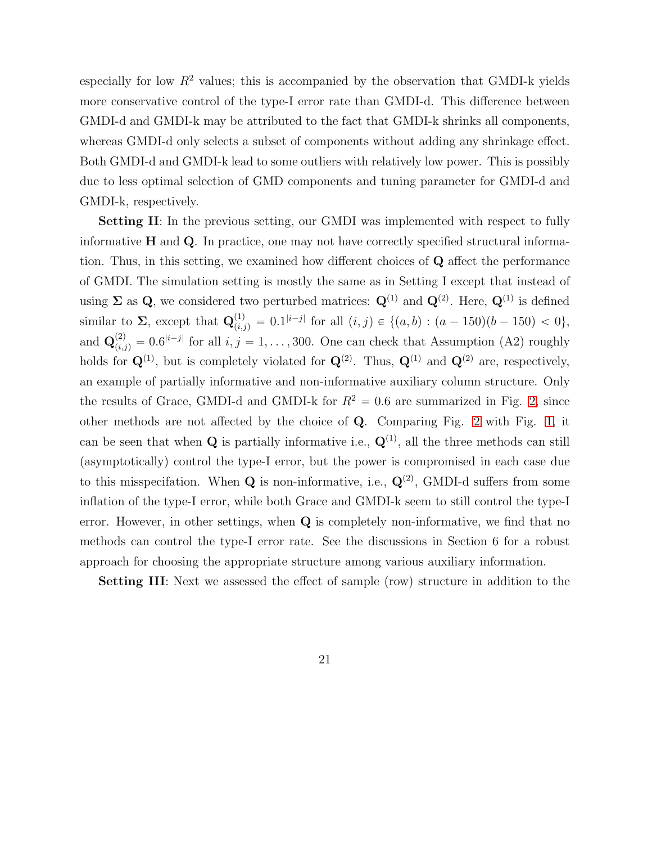especially for low  $R^2$  values; this is accompanied by the observation that GMDI-k yields more conservative control of the type-I error rate than GMDI-d. This difference between GMDI-d and GMDI-k may be attributed to the fact that GMDI-k shrinks all components, whereas GMDI-d only selects a subset of components without adding any shrinkage effect. Both GMDI-d and GMDI-k lead to some outliers with relatively low power. This is possibly due to less optimal selection of GMD components and tuning parameter for GMDI-d and GMDI-k, respectively.

Setting II: In the previous setting, our GMDI was implemented with respect to fully informative  $H$  and  $Q$ . In practice, one may not have correctly specified structural information. Thus, in this setting, we examined how different choices of Q affect the performance of GMDI. The simulation setting is mostly the same as in Setting I except that instead of using  $\Sigma$  as Q, we considered two perturbed matrices:  $Q^{(1)}$  and  $Q^{(2)}$ . Here,  $Q^{(1)}$  is defined similar to  $\Sigma$ , except that  $\mathbf{Q}_{(i,j)}^{(1)} = 0.1^{|i-j|}$  for all  $(i,j) \in \{(a,b) : (a-150)(b-150) < 0\},$ and  $\mathbf{Q}_{(i,j)}^{(2)} = 0.6^{|i-j|}$  for all  $i, j = 1, ..., 300$ . One can check that Assumption (A2) roughly holds for  $\mathbf{Q}^{(1)}$ , but is completely violated for  $\mathbf{Q}^{(2)}$ . Thus,  $\mathbf{Q}^{(1)}$  and  $\mathbf{Q}^{(2)}$  are, respectively, an example of partially informative and non-informative auxiliary column structure. Only the results of Grace, GMDI-d and GMDI-k for  $R^2 = 0.6$  are summarized in Fig. [2,](#page-21-0) since other methods are not affected by the choice of Q. Comparing Fig. [2](#page-21-0) with Fig. [1,](#page-19-0) it can be seen that when  $Q$  is partially informative i.e.,  $Q^{(1)}$ , all the three methods can still (asymptotically) control the type-I error, but the power is compromised in each case due to this misspecifation. When **Q** is non-informative, i.e.,  $\mathbf{Q}^{(2)}$ , GMDI-d suffers from some inflation of the type-I error, while both Grace and GMDI-k seem to still control the type-I error. However, in other settings, when  $Q$  is completely non-informative, we find that no methods can control the type-I error rate. See the discussions in Section 6 for a robust approach for choosing the appropriate structure among various auxiliary information.

Setting III: Next we assessed the effect of sample (row) structure in addition to the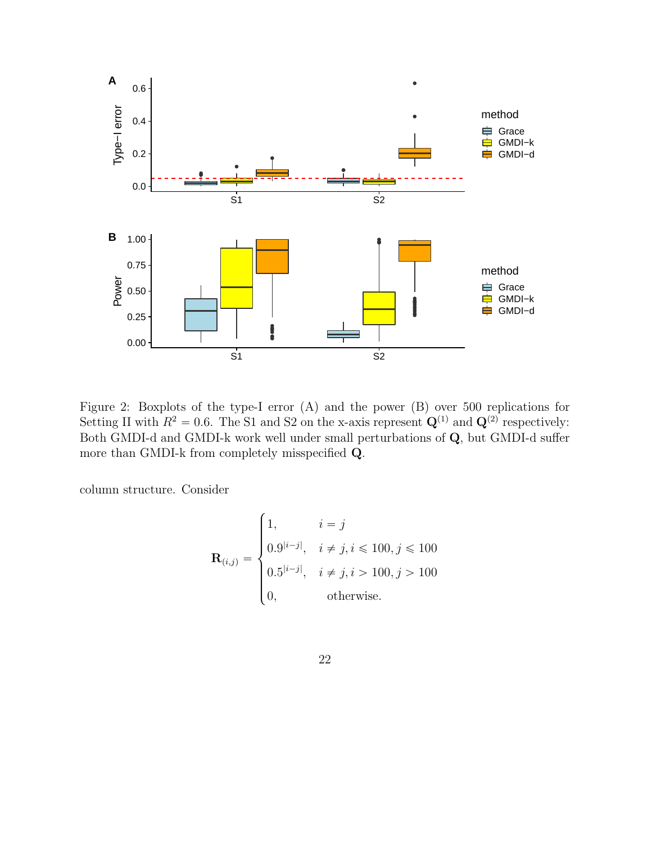

<span id="page-21-0"></span>Figure 2: Boxplots of the type-I error (A) and the power (B) over 500 replications for Setting II with  $R^2 = 0.6$ . The S1 and S2 on the x-axis represent  $\mathbf{Q}^{(1)}$  and  $\mathbf{Q}^{(2)}$  respectively: Both GMDI-d and GMDI-k work well under small perturbations of Q, but GMDI-d suffer more than GMDI-k from completely misspecified Q.

column structure. Consider

$$
\mathbf{R}_{(i,j)} = \begin{cases} 1, & i = j \\ 0.9^{|i-j|}, & i \neq j, i \leq 100, j \leq 100 \\ 0.5^{|i-j|}, & i \neq j, i > 100, j > 100 \\ 0, & \text{otherwise.} \end{cases}
$$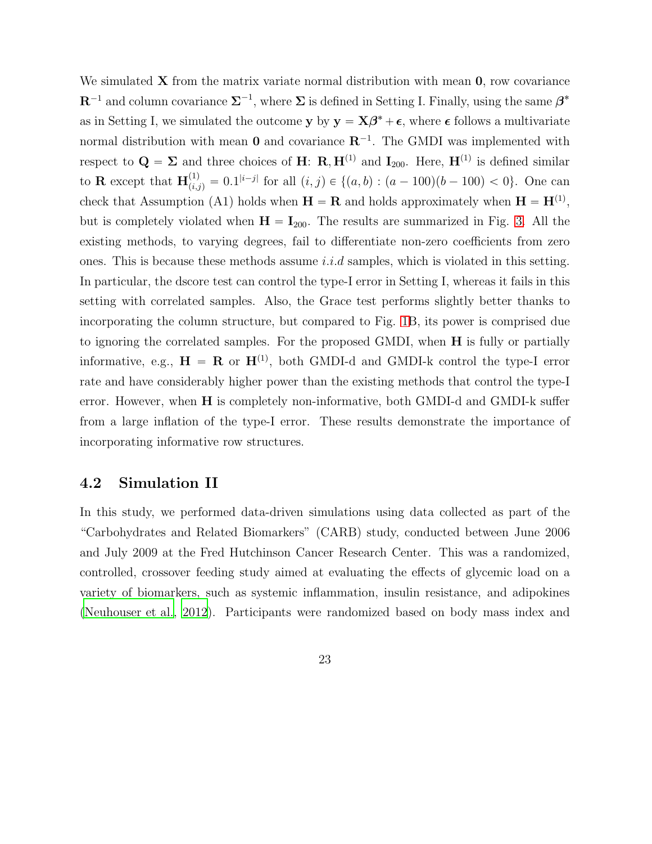We simulated  $X$  from the matrix variate normal distribution with mean  $0$ , row covariance  $\mathbb{R}^{-1}$  and column covariance  $\Sigma^{-1}$ , where  $\Sigma$  is defined in Setting I. Finally, using the same  $\beta^*$ as in Setting I, we simulated the outcome  $y$  by  $y = X\beta^* + \epsilon$ , where  $\epsilon$  follows a multivariate normal distribution with mean **0** and covariance  $\mathbb{R}^{-1}$ . The GMDI was implemented with respect to  $\mathbf{Q} = \mathbf{\Sigma}$  and three choices of **H**: **R**, **H**<sup>(1)</sup> and **I**<sub>200</sub>. Here, **H**<sup>(1)</sup> is defined similar to **R** except that  $\mathbf{H}_{(i,j)}^{(1)} = 0.1^{|i-j|}$  for all  $(i,j) \in \{(a,b) : (a-100)(b-100) < 0\}$ . One can check that Assumption (A1) holds when  $\mathbf{H} = \mathbf{R}$  and holds approximately when  $\mathbf{H} = \mathbf{H}^{(1)}$ , but is completely violated when  $H = I_{200}$ . The results are summarized in Fig. [3.](#page-23-0) All the existing methods, to varying degrees, fail to differentiate non-zero coefficients from zero ones. This is because these methods assume *i.i.d* samples, which is violated in this setting. In particular, the dscore test can control the type-I error in Setting I, whereas it fails in this setting with correlated samples. Also, the Grace test performs slightly better thanks to incorporating the column structure, but compared to Fig. [1B](#page-19-0), its power is comprised due to ignoring the correlated samples. For the proposed GMDI, when H is fully or partially informative, e.g.,  $\mathbf{H} = \mathbf{R}$  or  $\mathbf{H}^{(1)}$ , both GMDI-d and GMDI-k control the type-I error rate and have considerably higher power than the existing methods that control the type-I error. However, when H is completely non-informative, both GMDI-d and GMDI-k suffer from a large inflation of the type-I error. These results demonstrate the importance of incorporating informative row structures.

### 4.2 Simulation II

In this study, we performed data-driven simulations using data collected as part of the "Carbohydrates and Related Biomarkers" (CARB) study, conducted between June 2006 and July 2009 at the Fred Hutchinson Cancer Research Center. This was a randomized, controlled, crossover feeding study aimed at evaluating the effects of glycemic load on a variety of biomarkers, such as systemic inflammation, insulin resistance, and adipokines [\(Neuhouser et al.](#page-43-5), [2012\)](#page-43-5). Participants were randomized based on body mass index and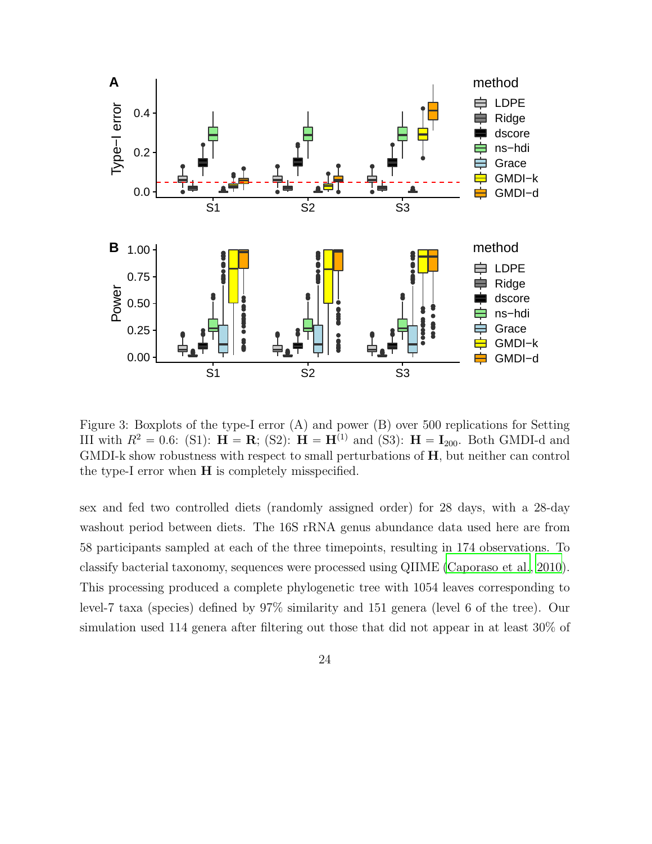

<span id="page-23-0"></span>Figure 3: Boxplots of the type-I error (A) and power (B) over 500 replications for Setting III with  $R^2 = 0.6$ : (S1):  $H = R$ ; (S2):  $H = H^{(1)}$  and (S3):  $H = I_{200}$ . Both GMDI-d and GMDI-k show robustness with respect to small perturbations of H, but neither can control the type-I error when H is completely misspecified.

sex and fed two controlled diets (randomly assigned order) for 28 days, with a 28-day washout period between diets. The 16S rRNA genus abundance data used here are from 58 participants sampled at each of the three timepoints, resulting in 174 observations. To classify bacterial taxonomy, sequences were processed using QIIME [\(Caporaso et al.](#page-41-2), [2010\)](#page-41-2). This processing produced a complete phylogenetic tree with 1054 leaves corresponding to level-7 taxa (species) defined by 97% similarity and 151 genera (level 6 of the tree). Our simulation used 114 genera after filtering out those that did not appear in at least 30% of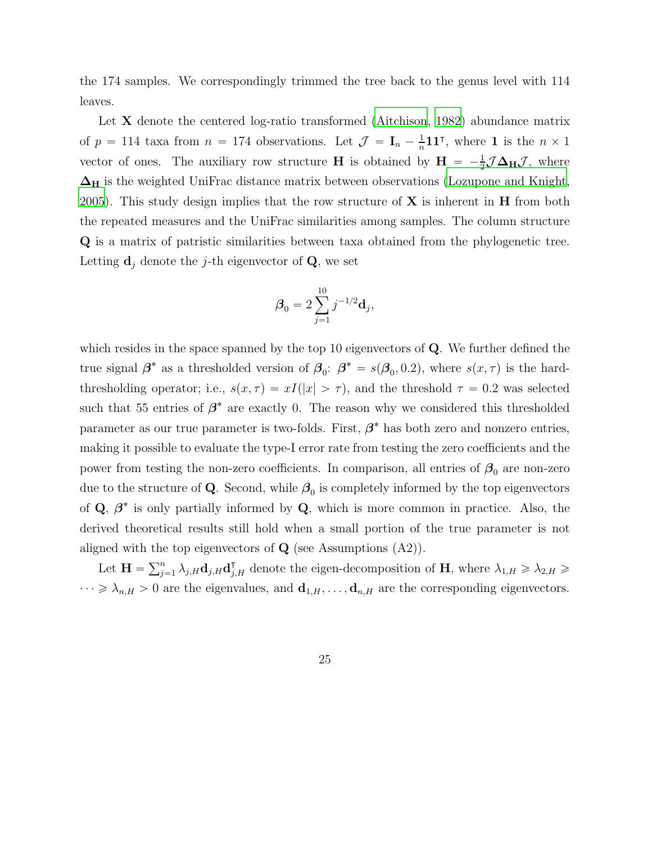the 174 samples. We correspondingly trimmed the tree back to the genus level with 114 leaves.

Let **X** denote the centered log-ratio transformed [\(Aitchison](#page-41-3), [1982\)](#page-41-3) abundance matrix of  $p = 114$  taxa from  $n = 174$  observations. Let  $\mathcal{J} = \mathbf{I}_n - \frac{1}{n}$  $\frac{1}{n}$ 11<sup>T</sup>, where 1 is the  $n \times 1$ vector of ones. The auxiliary row structure **H** is obtained by  $H = -\frac{1}{2}$  $\frac{1}{2} \mathcal{J} \mathbf{\Delta_H} \mathcal{J}$ , where  $\Delta_H$  is the weighted UniFrac distance matrix between observations [\(Lozupone and Knight](#page-43-6), [2005](#page-43-6)). This study design implies that the row structure of  $X$  is inherent in  $H$  from both the repeated measures and the UniFrac similarities among samples. The column structure Q is a matrix of patristic similarities between taxa obtained from the phylogenetic tree. Letting  $\mathbf{d}_j$  denote the j-th eigenvector of  $\mathbf{Q}$ , we set

$$
\pmb{\beta}_0 = 2\sum_{j=1}^{10}j^{-1/2}{\bf d}_j,
$$

which resides in the space spanned by the top 10 eigenvectors of  $Q$ . We further defined the true signal  $\beta^*$  as a thresholded version of  $\beta_0$ :  $\beta^* = s(\beta_0, 0.2)$ , where  $s(x, \tau)$  is the hardthresholding operator; i.e.,  $s(x, \tau) = xI(|x| > \tau)$ , and the threshold  $\tau = 0.2$  was selected such that 55 entries of  $\beta^*$  are exactly 0. The reason why we considered this thresholded parameter as our true parameter is two-folds. First,  $\beta^*$  has both zero and nonzero entries, making it possible to evaluate the type-I error rate from testing the zero coefficients and the power from testing the non-zero coefficients. In comparison, all entries of  $\beta_0$  are non-zero due to the structure of Q. Second, while  $\beta_0$  is completely informed by the top eigenvectors of  $\mathbf{Q}, \ \beta^*$  is only partially informed by  $\mathbf{Q}$ , which is more common in practice. Also, the derived theoretical results still hold when a small portion of the true parameter is not aligned with the top eigenvectors of  $Q$  (see Assumptions  $(A2)$ ).

Let  $\mathbf{H} = \sum_{j=1}^{n} \lambda_{j,H} \mathbf{d}_{j,H} \mathbf{d}_{j,H}^{\mathsf{T}}$  denote the eigen-decomposition of  $\mathbf{H}$ , where  $\lambda_{1,H} \geqslant \lambda_{2,H} \geqslant$  $\cdots \geq \lambda_{n,H} > 0$  are the eigenvalues, and  $\mathbf{d}_{1,H}, \ldots, \mathbf{d}_{n,H}$  are the corresponding eigenvectors.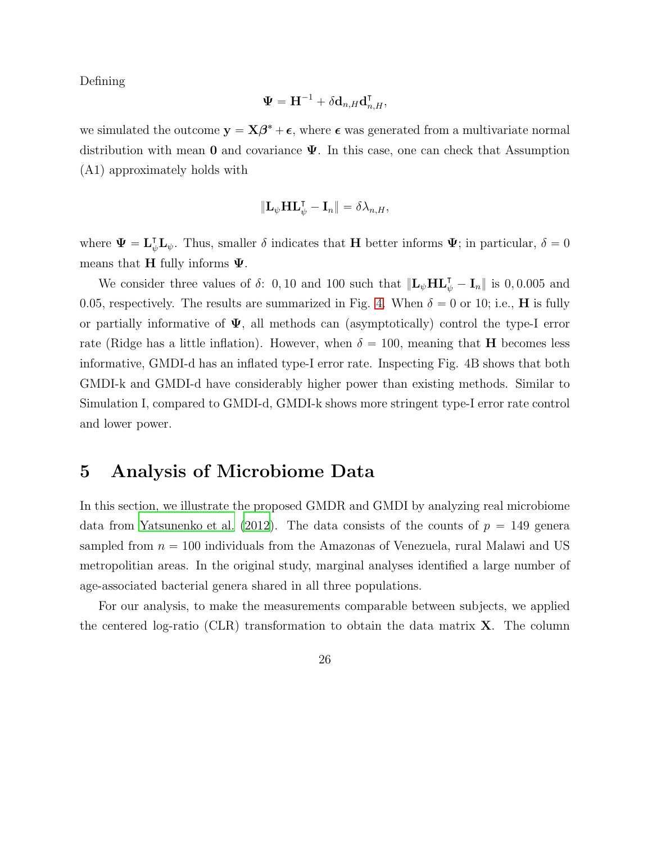Defining

$$
\boldsymbol{\Psi} = \mathbf{H}^{-1} + \delta \mathbf{d}_{n,H} \mathbf{d}_{n,H}^\intercal,
$$

we simulated the outcome  $y = X\beta^* + \epsilon$ , where  $\epsilon$  was generated from a multivariate normal distribution with mean 0 and covariance  $\Psi$ . In this case, one can check that Assumption (A1) approximately holds with

$$
\|\mathbf{L}_{\psi}\mathbf{H}\mathbf{L}_{\psi}^{\mathsf{T}}-\mathbf{I}_{n}\|=\delta\lambda_{n,H},
$$

where  $\Psi = \mathbf{L}_{\psi}^{\mathsf{T}} \mathbf{L}_{\psi}$ . Thus, smaller  $\delta$  indicates that H better informs  $\Psi$ ; in particular,  $\delta = 0$ means that **H** fully informs  $\Psi$ .

We consider three values of  $\delta$ : 0, 10 and 100 such that  $\|\mathbf{L}_{\psi} \mathbf{H} \mathbf{L}_{\psi}^{\mathsf{T}} - \mathbf{I}_{n}\|$  is 0, 0.005 and 0.05, respectively. The results are summarized in Fig. [4.](#page-26-0) When  $\delta = 0$  or 10; i.e., **H** is fully or partially informative of  $\Psi$ , all methods can (asymptotically) control the type-I error rate (Ridge has a little inflation). However, when  $\delta = 100$ , meaning that **H** becomes less informative, GMDI-d has an inflated type-I error rate. Inspecting Fig. 4B shows that both GMDI-k and GMDI-d have considerably higher power than existing methods. Similar to Simulation I, compared to GMDI-d, GMDI-k shows more stringent type-I error rate control and lower power.

## 5 Analysis of Microbiome Data

In this section, we illustrate the proposed GMDR and GMDI by analyzing real microbiome data from [Yatsunenko et al. \(2012](#page-44-7)). The data consists of the counts of  $p = 149$  genera sampled from  $n = 100$  individuals from the Amazonas of Venezuela, rural Malawi and US metropolitian areas. In the original study, marginal analyses identified a large number of age-associated bacterial genera shared in all three populations.

For our analysis, to make the measurements comparable between subjects, we applied the centered log-ratio (CLR) transformation to obtain the data matrix  $X$ . The column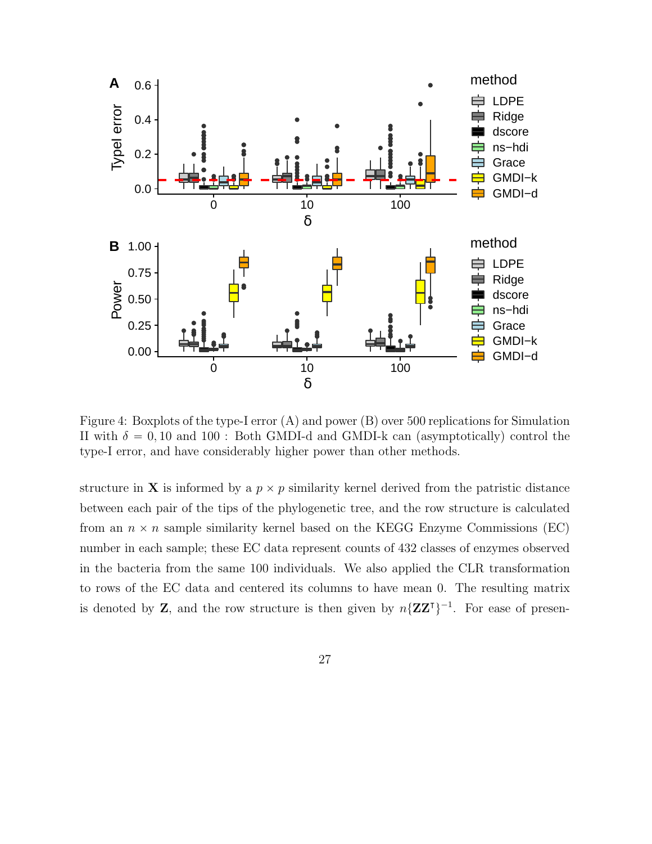

<span id="page-26-0"></span>Figure 4: Boxplots of the type-I error (A) and power (B) over 500 replications for Simulation II with  $\delta = 0, 10$  and  $100$ : Both GMDI-d and GMDI-k can (asymptotically) control the type-I error, and have considerably higher power than other methods.

structure in **X** is informed by a  $p \times p$  similarity kernel derived from the patristic distance between each pair of the tips of the phylogenetic tree, and the row structure is calculated from an  $n \times n$  sample similarity kernel based on the KEGG Enzyme Commissions (EC) number in each sample; these EC data represent counts of 432 classes of enzymes observed in the bacteria from the same 100 individuals. We also applied the CLR transformation to rows of the EC data and centered its columns to have mean 0. The resulting matrix is denoted by **Z**, and the row structure is then given by  $n\{ZZ^{\dagger}\}^{-1}$ . For ease of presen-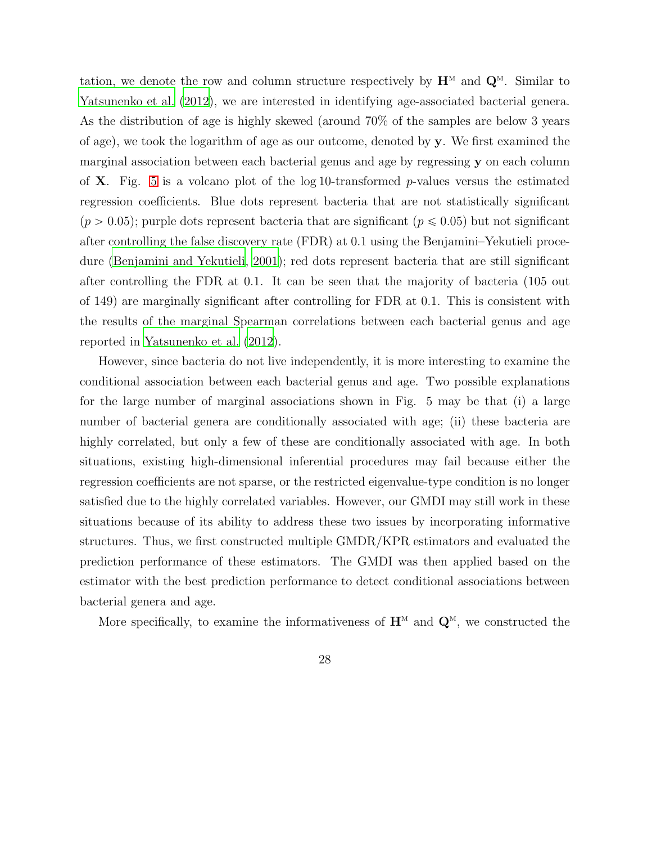tation, we denote the row and column structure respectively by  $\mathbf{H}^M$  and  $\mathbf{Q}^M$ . Similar to [Yatsunenko et al. \(2012](#page-44-7)), we are interested in identifying age-associated bacterial genera. As the distribution of age is highly skewed (around 70% of the samples are below 3 years of age), we took the logarithm of age as our outcome, denoted by y. We first examined the marginal association between each bacterial genus and age by regressing y on each column of **X**. Fig. [5](#page-28-0) is a volcano plot of the log 10-transformed p-values versus the estimated regression coefficients. Blue dots represent bacteria that are not statistically significant  $(p > 0.05)$ ; purple dots represent bacteria that are significant  $(p \le 0.05)$  but not significant after controlling the false discovery rate (FDR) at 0.1 using the Benjamini–Yekutieli procedure [\(Benjamini and Yekutieli](#page-41-4), [2001](#page-41-4)); red dots represent bacteria that are still significant after controlling the FDR at 0.1. It can be seen that the majority of bacteria (105 out of 149) are marginally significant after controlling for FDR at 0.1. This is consistent with the results of the marginal Spearman correlations between each bacterial genus and age reported in [Yatsunenko et al. \(2012\)](#page-44-7).

However, since bacteria do not live independently, it is more interesting to examine the conditional association between each bacterial genus and age. Two possible explanations for the large number of marginal associations shown in Fig. 5 may be that (i) a large number of bacterial genera are conditionally associated with age; (ii) these bacteria are highly correlated, but only a few of these are conditionally associated with age. In both situations, existing high-dimensional inferential procedures may fail because either the regression coefficients are not sparse, or the restricted eigenvalue-type condition is no longer satisfied due to the highly correlated variables. However, our GMDI may still work in these situations because of its ability to address these two issues by incorporating informative structures. Thus, we first constructed multiple GMDR/KPR estimators and evaluated the prediction performance of these estimators. The GMDI was then applied based on the estimator with the best prediction performance to detect conditional associations between bacterial genera and age.

More specifically, to examine the informativeness of  $\mathbf{H}^M$  and  $\mathbf{Q}^M$ , we constructed the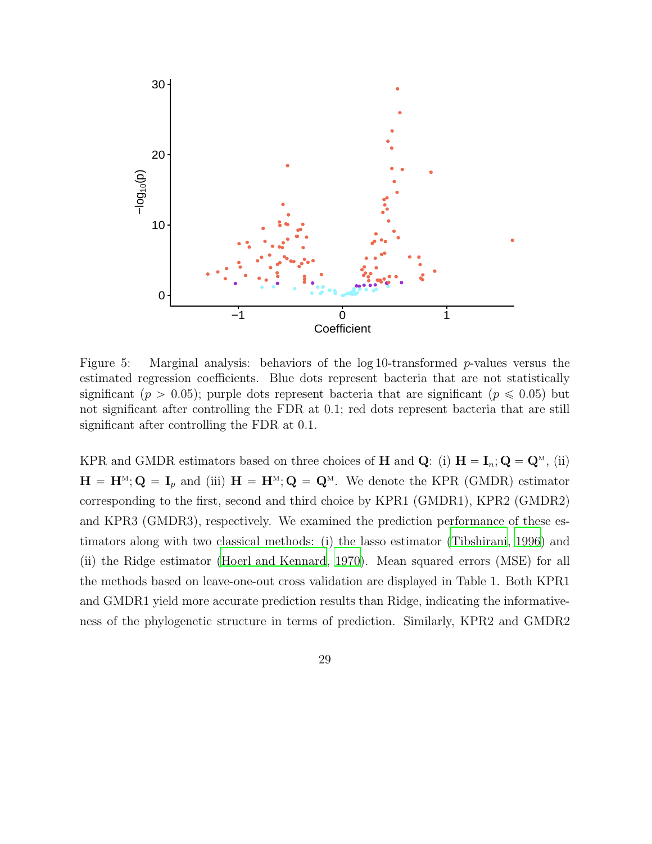

<span id="page-28-0"></span>Figure 5: Marginal analysis: behaviors of the log 10-transformed p-values versus the estimated regression coefficients. Blue dots represent bacteria that are not statistically significant ( $p > 0.05$ ); purple dots represent bacteria that are significant ( $p \le 0.05$ ) but not significant after controlling the FDR at 0.1; red dots represent bacteria that are still significant after controlling the FDR at 0.1.

KPR and GMDR estimators based on three choices of **H** and **Q**: (i)  $H = I_n$ ; **Q** = **Q**<sup>M</sup>, (ii)  $\mathbf{H} = \mathbf{H}^{M}; \mathbf{Q} = \mathbf{I}_{p}$  and (iii)  $\mathbf{H} = \mathbf{H}^{M}; \mathbf{Q} = \mathbf{Q}^{M}$ . We denote the KPR (GMDR) estimator corresponding to the first, second and third choice by KPR1 (GMDR1), KPR2 (GMDR2) and KPR3 (GMDR3), respectively. We examined the prediction performance of these estimators along with two classical methods: (i) the lasso estimator [\(Tibshirani, 1996\)](#page-43-3) and (ii) the Ridge estimator [\(Hoerl and Kennard, 1970](#page-42-6)). Mean squared errors (MSE) for all the methods based on leave-one-out cross validation are displayed in Table 1. Both KPR1 and GMDR1 yield more accurate prediction results than Ridge, indicating the informativeness of the phylogenetic structure in terms of prediction. Similarly, KPR2 and GMDR2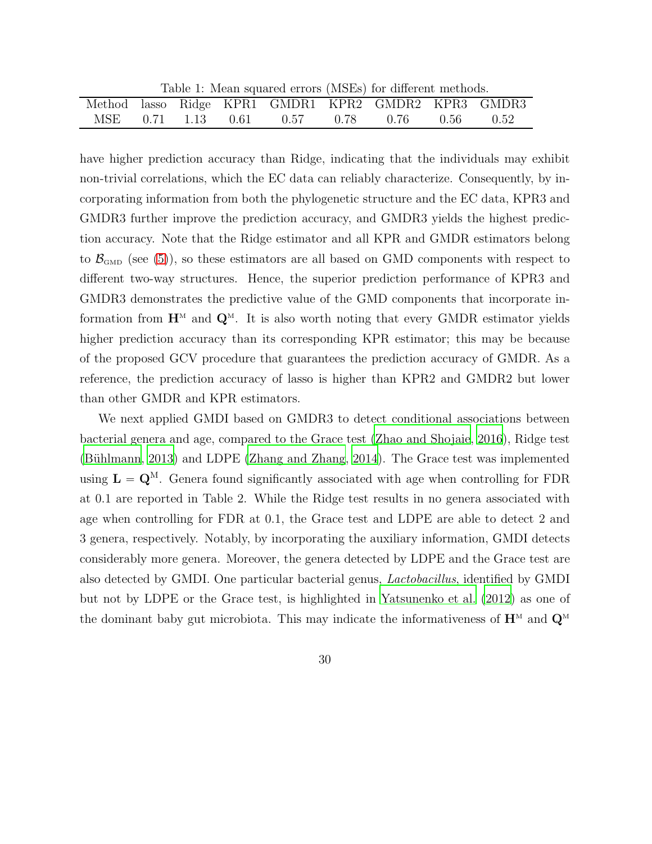Table 1: Mean squared errors (MSEs) for different methods.

|  |  | Method lasso Ridge KPR1 GMDR1 KPR2 GMDR2 KPR3 GMDR3 |  |  |
|--|--|-----------------------------------------------------|--|--|
|  |  | MSE 0.71 1.13 0.61 0.57 0.78 0.76 0.56 0.52         |  |  |

have higher prediction accuracy than Ridge, indicating that the individuals may exhibit non-trivial correlations, which the EC data can reliably characterize. Consequently, by incorporating information from both the phylogenetic structure and the EC data, KPR3 and GMDR3 further improve the prediction accuracy, and GMDR3 yields the highest prediction accuracy. Note that the Ridge estimator and all KPR and GMDR estimators belong to  $\mathcal{B}_{\text{GMD}}$  (see [\(5\)](#page-7-0)), so these estimators are all based on GMD components with respect to different two-way structures. Hence, the superior prediction performance of KPR3 and GMDR3 demonstrates the predictive value of the GMD components that incorporate information from  $\mathbf{H}^M$  and  $\mathbf{Q}^M$ . It is also worth noting that every GMDR estimator yields higher prediction accuracy than its corresponding KPR estimator; this may be because of the proposed GCV procedure that guarantees the prediction accuracy of GMDR. As a reference, the prediction accuracy of lasso is higher than KPR2 and GMDR2 but lower than other GMDR and KPR estimators.

We next applied GMDI based on GMDR3 to detect conditional associations between bacterial genera and age, compared to the Grace test [\(Zhao and](#page-45-0) Shojaie, [2016](#page-45-0)), Ridge test (Bühlmann, 2013) and LDPE [\(Zhang and Zhang](#page-44-1), [2014\)](#page-44-1). The Grace test was implemented using  $L = Q^M$ . Genera found significantly associated with age when controlling for FDR at 0.1 are reported in Table 2. While the Ridge test results in no genera associated with age when controlling for FDR at 0.1, the Grace test and LDPE are able to detect 2 and 3 genera, respectively. Notably, by incorporating the auxiliary information, GMDI detects considerably more genera. Moreover, the genera detected by LDPE and the Grace test are also detected by GMDI. One particular bacterial genus, *Lactobacillus*, identified by GMDI but not by LDPE or the Grace test, is highlighted in [Yatsunenko et al.](#page-44-7) [\(2012\)](#page-44-7) as one of the dominant baby gut microbiota. This may indicate the informativeness of  $\mathbf{H}^{\scriptscriptstyle{M}}$  and  $\mathbf{Q}^{\scriptscriptstyle{M}}$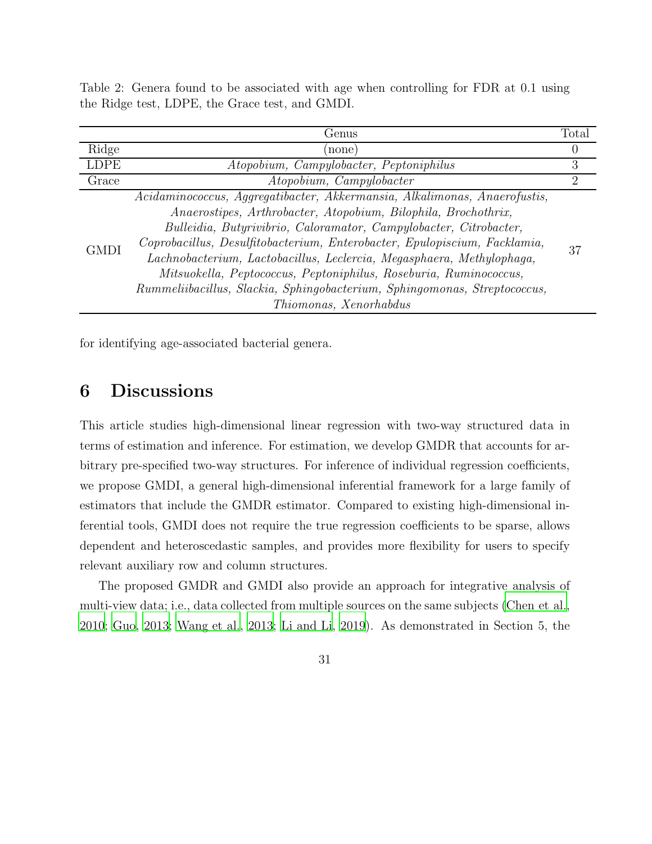|             | Genus                                                                                                                                                                                                                                                                                                                                                                                                                                                                                                                    | Total          |  |  |  |  |
|-------------|--------------------------------------------------------------------------------------------------------------------------------------------------------------------------------------------------------------------------------------------------------------------------------------------------------------------------------------------------------------------------------------------------------------------------------------------------------------------------------------------------------------------------|----------------|--|--|--|--|
| Ridge       | none)                                                                                                                                                                                                                                                                                                                                                                                                                                                                                                                    | O              |  |  |  |  |
| <b>LDPE</b> | Atopobium, Campylobacter, Peptoniphilus                                                                                                                                                                                                                                                                                                                                                                                                                                                                                  | 3              |  |  |  |  |
| Grace       | Atopobium, Campylobacter                                                                                                                                                                                                                                                                                                                                                                                                                                                                                                 | $\overline{2}$ |  |  |  |  |
| <b>GMDI</b> | Acidaminococcus, Aggregatibacter, Akkermansia, Alkalimonas, Anaerofustis,<br>Anaerostipes, Arthrobacter, Atopobium, Bilophila, Brochothrix,<br>Bulleidia, Butyrivibrio, Caloramator, Campylobacter, Citrobacter,<br>Coprobacillus, Desulfitobacterium, Enterobacter, Epulopiscium, Facklamia,<br>Lachnobacterium, Lactobacillus, Leclercia, Megasphaera, Methylophaga,<br>Mitsuokella, Peptococcus, Peptoniphilus, Roseburia, Ruminococcus,<br>Rummeliibacillus, Slackia, Sphingobacterium, Sphingomonas, Streptococcus, | 37             |  |  |  |  |
|             | Thiomonas, Xenorhabdus                                                                                                                                                                                                                                                                                                                                                                                                                                                                                                   |                |  |  |  |  |

Table 2: Genera found to be associated with age when controlling for FDR at 0.1 using the Ridge test, LDPE, the Grace test, and GMDI.

for identifying age-associated bacterial genera.

## 6 Discussions

This article studies high-dimensional linear regression with two-way structured data in terms of estimation and inference. For estimation, we develop GMDR that accounts for arbitrary pre-specified two-way structures. For inference of individual regression coefficients, we propose GMDI, a general high-dimensional inferential framework for a large family of estimators that include the GMDR estimator. Compared to existing high-dimensional inferential tools, GMDI does not require the true regression coefficients to be sparse, allows dependent and heteroscedastic samples, and provides more flexibility for users to specify relevant auxiliary row and column structures.

The proposed GMDR and GMDI also provide an approach for integrative analysis of multi-view data; i.e., data collected from multiple sources on the same subjects [\(Chen et al.](#page-42-7), [2010](#page-42-7); [Guo, 2013;](#page-42-8) [Wang et al.](#page-44-8), [2013;](#page-44-8) [Li and Li](#page-43-7), [2019](#page-43-7)). As demonstrated in Section 5, the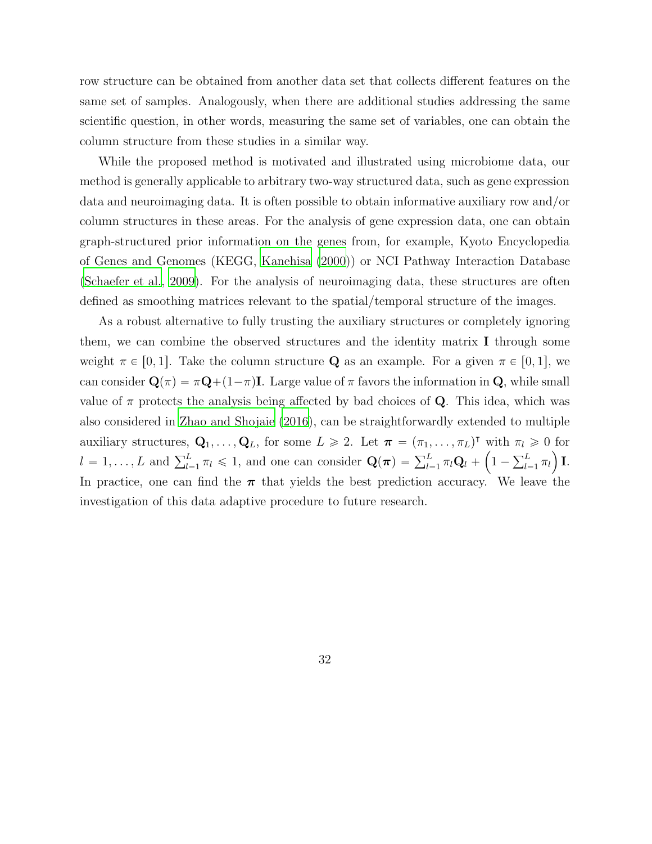row structure can be obtained from another data set that collects different features on the same set of samples. Analogously, when there are additional studies addressing the same scientific question, in other words, measuring the same set of variables, one can obtain the column structure from these studies in a similar way.

While the proposed method is motivated and illustrated using microbiome data, our method is generally applicable to arbitrary two-way structured data, such as gene expression data and neuroimaging data. It is often possible to obtain informative auxiliary row and/or column structures in these areas. For the analysis of gene expression data, one can obtain graph-structured prior information on the genes from, for example, Kyoto Encyclopedia of Genes and Genomes (KEGG, [Kanehisa \(2000\)](#page-42-9)) or NCI Pathway Interaction Database [\(Schaefer et al., 2009\)](#page-43-8). For the analysis of neuroimaging data, these structures are often defined as smoothing matrices relevant to the spatial/temporal structure of the images.

As a robust alternative to fully trusting the auxiliary structures or completely ignoring them, we can combine the observed structures and the identity matrix I through some weight  $\pi \in [0, 1]$ . Take the column structure **Q** as an example. For a given  $\pi \in [0, 1]$ , we can consider  $\mathbf{Q}(\pi) = \pi \mathbf{Q} + (1 - \pi)\mathbf{I}$ . Large value of  $\pi$  favors the information in  $\mathbf{Q}$ , while small value of  $\pi$  protects the analysis being affected by bad choices of **Q**. This idea, which was also considered in [Zhao and Shojaie \(2016\)](#page-45-0), can be straightforwardly extended to multiple auxiliary structures,  $\mathbf{Q}_1, \ldots, \mathbf{Q}_L$ , for some  $L \geq 2$ . Let  $\boldsymbol{\pi} = (\pi_1, \ldots, \pi_L)^\intercal$  with  $\pi_l \geq 0$  for  $l = 1, ..., L$  and  $\sum_{l=1}^{L} \pi_l \leq 1$ , and one can consider  $\mathbf{Q}(\boldsymbol{\pi}) = \sum_{l=1}^{L} \pi_l \mathbf{Q}_l + \left(1 - \sum_{l=1}^{L} \pi_l\right) \mathbf{I}$ . In practice, one can find the  $\pi$  that yields the best prediction accuracy. We leave the investigation of this data adaptive procedure to future research.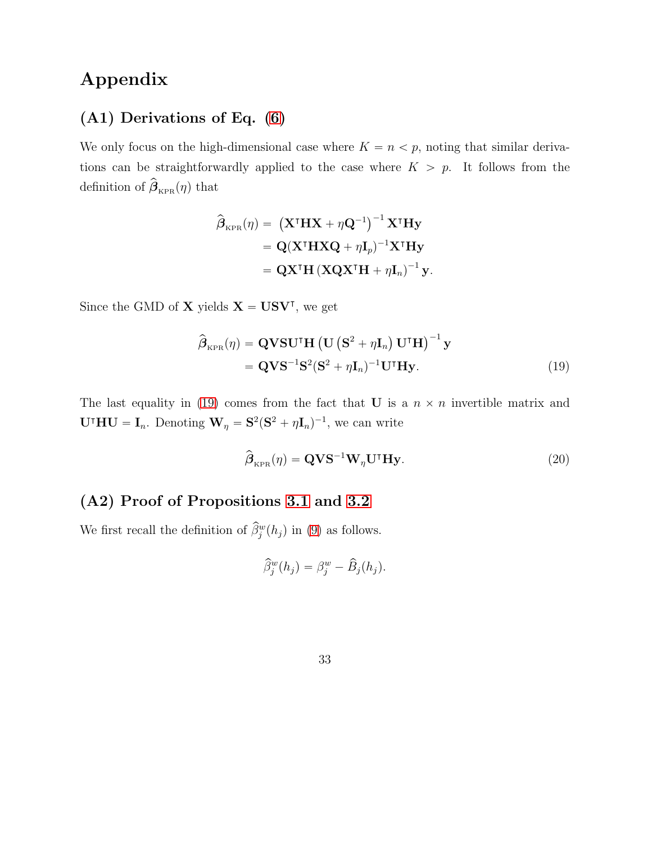## Appendix

## (A1) Derivations of Eq. [\(6\)](#page-8-0)

We only focus on the high-dimensional case where  $K = n < p$ , noting that similar derivations can be straightforwardly applied to the case where  $K > p$ . It follows from the definition of  $\beta_{KPR}(\eta)$  that

$$
\hat{\boldsymbol{\beta}}_{\text{KPR}}(\eta) = (\mathbf{X}^{\text{T}} \mathbf{H} \mathbf{X} + \eta \mathbf{Q}^{-1})^{-1} \mathbf{X}^{\text{T}} \mathbf{H} \mathbf{y}
$$

$$
= \mathbf{Q} (\mathbf{X}^{\text{T}} \mathbf{H} \mathbf{X} \mathbf{Q} + \eta \mathbf{I}_p)^{-1} \mathbf{X}^{\text{T}} \mathbf{H} \mathbf{y}
$$

$$
= \mathbf{Q} \mathbf{X}^{\text{T}} \mathbf{H} (\mathbf{X} \mathbf{Q} \mathbf{X}^{\text{T}} \mathbf{H} + \eta \mathbf{I}_n)^{-1} \mathbf{y}.
$$

Since the GMD of **X** yields **X** = **USV<sup>T</sup>**, we get

$$
\hat{\boldsymbol{\beta}}_{\text{KPR}}(\eta) = \mathbf{Q} \mathbf{V} \mathbf{S} \mathbf{U}^{\mathsf{T}} \mathbf{H} \left( \mathbf{U} \left( \mathbf{S}^2 + \eta \mathbf{I}_n \right) \mathbf{U}^{\mathsf{T}} \mathbf{H} \right)^{-1} \mathbf{y} \n= \mathbf{Q} \mathbf{V} \mathbf{S}^{-1} \mathbf{S}^2 (\mathbf{S}^2 + \eta \mathbf{I}_n)^{-1} \mathbf{U}^{\mathsf{T}} \mathbf{H} \mathbf{y}.
$$
\n(19)

The last equality in [\(19\)](#page-32-0) comes from the fact that U is a  $n \times n$  invertible matrix and  $U^{\dagger}HU = I_n$ . Denoting  $\mathbf{W}_{\eta} = \mathbf{S}^2(\mathbf{S}^2 + \eta \mathbf{I}_n)^{-1}$ , we can write

<span id="page-32-0"></span>
$$
\hat{\boldsymbol{\beta}}_{\text{KPR}}(\eta) = \mathbf{Q} \mathbf{V} \mathbf{S}^{-1} \mathbf{W}_{\eta} \mathbf{U}^{\mathsf{T}} \mathbf{H} \mathbf{y}.
$$
\n(20)

# (A2) Proof of Propositions [3.1](#page-10-1) and [3.2](#page-12-0)

We first recall the definition of  $\hat{\beta}_j^w(h_j)$  in [\(9\)](#page-10-0) as follows.

$$
\widehat{\beta}_j^w(h_j) = \beta_j^w - \widehat{B}_j(h_j).
$$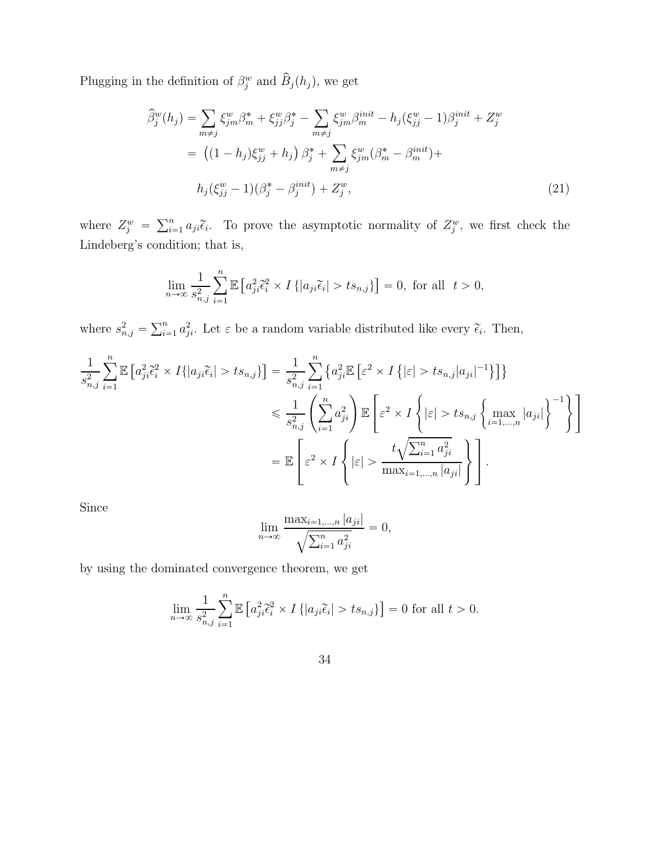Plugging in the definition of  $\beta_j^w$  and  $\widehat{B}_j(h_j)$ , we get

$$
\widehat{\beta}_{j}^{w}(h_{j}) = \sum_{m \neq j} \xi_{jm}^{w} \beta_{m}^{*} + \xi_{jj}^{w} \beta_{j}^{*} - \sum_{m \neq j} \xi_{jm}^{w} \beta_{m}^{init} - h_{j}(\xi_{jj}^{w} - 1) \beta_{j}^{init} + Z_{j}^{w}
$$
\n
$$
= \left( (1 - h_{j}) \xi_{jj}^{w} + h_{j} \right) \beta_{j}^{*} + \sum_{m \neq j} \xi_{jm}^{w} (\beta_{m}^{*} - \beta_{m}^{init}) +
$$
\n
$$
h_{j}(\xi_{jj}^{w} - 1) (\beta_{j}^{*} - \beta_{j}^{init}) + Z_{j}^{w}, \tag{21}
$$

where  $Z_j^w = \sum_{i=1}^n a_{ji} \tilde{\epsilon}_i$ . To prove the asymptotic normality of  $Z_j^w$ , we first check the Lindeberg's condition; that is,

$$
\lim_{n \to \infty} \frac{1}{s_{n,j}^2} \sum_{i=1}^n \mathbb{E} \left[ a_{ji}^2 \tilde{\epsilon}_i^2 \times I \{ |a_{ji} \tilde{\epsilon}_i| > t s_{n,j} \} \right] = 0, \text{ for all } t > 0,
$$

where  $s_{n,j}^2 = \sum_{i=1}^n a_{ji}^2$ . Let  $\varepsilon$  be a random variable distributed like every  $\tilde{\epsilon}_i$ . Then,

$$
\frac{1}{s_{n,j}^2} \sum_{i=1}^n \mathbb{E} \left[ a_{ji}^2 \tilde{\epsilon}_i^2 \times I\{|a_{ji}\tilde{\epsilon}_i| > ts_{n,j}\} \right] = \frac{1}{s_{n,j}^2} \sum_{i=1}^n \left\{ a_{ji}^2 \mathbb{E} \left[ \varepsilon^2 \times I\left\{ |\varepsilon| > ts_{n,j} |a_{ji}|^{-1} \right\} \right] \right\}
$$
  

$$
\leq \frac{1}{s_{n,j}^2} \left( \sum_{i=1}^n a_{ji}^2 \right) \mathbb{E} \left[ \varepsilon^2 \times I\left\{ |\varepsilon| > ts_{n,j} \left\{ \max_{i=1,\dots,n} |a_{ji}| \right\}^{-1} \right\} \right]
$$
  

$$
= \mathbb{E} \left[ \varepsilon^2 \times I\left\{ |\varepsilon| > \frac{t\sqrt{\sum_{i=1}^n a_{ji}^2}}{\max_{i=1,\dots,n} |a_{ji}|} \right\} \right].
$$

Since

$$
\lim_{n \to \infty} \frac{\max_{i=1,...,n} |a_{ji}|}{\sqrt{\sum_{i=1}^{n} a_{ji}^2}} = 0,
$$

by using the dominated convergence theorem, we get

$$
\lim_{n \to \infty} \frac{1}{s_{n,j}^2} \sum_{i=1}^n \mathbb{E} \left[ a_{ji}^2 \tilde{\epsilon}_i^2 \times I \{ |a_{ji} \tilde{\epsilon}_i| > t s_{n,j} \} \right] = 0 \text{ for all } t > 0.
$$

34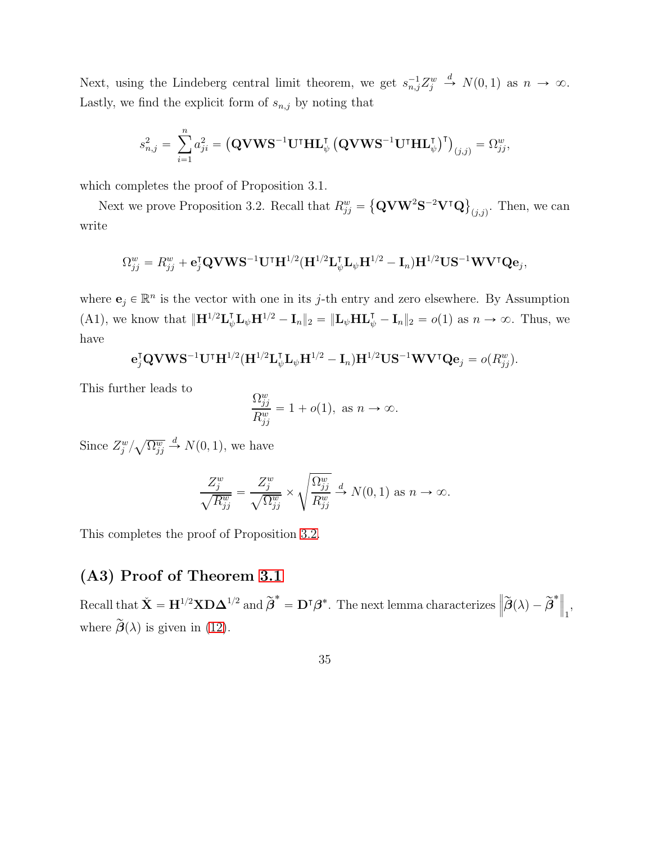Next, using the Lindeberg central limit theorem, we get  $s_{n,j}^{-1}Z_j^w \stackrel{d}{\rightarrow} N(0,1)$  as  $n \to \infty$ . Lastly, we find the explicit form of  $\mathfrak{s}_{n,j}$  by noting that

$$
s_{n,j}^2 = \sum_{i=1}^n a_{ji}^2 = (\mathbf{QVWS^{-1}U^\intercal HL}_{\psi}^\intercal (\mathbf{QVWS^{-1}U^\intercal HL}_{\psi}^\intercal)^\intercal)_{(j,j)} = \Omega_{jj}^w,
$$

which completes the proof of Proposition 3.1.

Next we prove Proposition 3.2. Recall that  $R_{jj}^w = \left\{ \mathbf{Q} \mathbf{V} \mathbf{W}^2 \mathbf{S}^{-2} \mathbf{V}^\intercal \mathbf{Q} \right\}_{(j,j)}$ . Then, we can write

$$
\Omega_{jj}^w = R_{jj}^w + \mathbf{e}_j^{\mathsf{T}} \mathbf{Q} \mathbf{V} \mathbf{W} \mathbf{S}^{-1} \mathbf{U}^{\mathsf{T}} \mathbf{H}^{1/2} (\mathbf{H}^{1/2} \mathbf{L}_{\psi}^{\mathsf{T}} \mathbf{L}_{\psi} \mathbf{H}^{1/2} - \mathbf{I}_n) \mathbf{H}^{1/2} \mathbf{U} \mathbf{S}^{-1} \mathbf{W} \mathbf{V}^{\mathsf{T}} \mathbf{Q} \mathbf{e}_j,
$$

where  $\mathbf{e}_j \in \mathbb{R}^n$  is the vector with one in its j-th entry and zero elsewhere. By Assumption (A1), we know that  $\|\mathbf{H}^{1/2}\mathbf{L}_{\psi}^{\mathsf{T}}\mathbf{L}_{\psi}\mathbf{H}^{1/2} - \mathbf{I}_{n}\|_{2} = \|\mathbf{L}_{\psi}\mathbf{H}\mathbf{L}_{\psi}^{\mathsf{T}} - \mathbf{I}_{n}\|_{2} = o(1)$  as  $n \to \infty$ . Thus, we have

$$
\mathbf{e}_j^{\text{T}}\mathbf{Q} \mathbf{V}\mathbf{W}\mathbf{S}^{-1}\mathbf{U}^{\text{T}}\mathbf{H}^{1/2}(\mathbf{H}^{1/2}\mathbf{L}_{\psi}^{\text{T}}\mathbf{L}_{\psi}\mathbf{H}^{1/2}-\mathbf{I}_n)\mathbf{H}^{1/2}\mathbf{U}\mathbf{S}^{-1}\mathbf{W}\mathbf{V}^{\text{T}}\mathbf{Q}\mathbf{e}_j = o(R_{jj}^w).
$$

This further leads to

$$
\frac{\Omega_{jj}^w}{R_{jj}^w} = 1 + o(1), \text{ as } n \to \infty.
$$

Since  $Z_j^w / \sqrt{\Omega_{jj}^w} \stackrel{d}{\rightarrow} N(0, 1)$ , we have

$$
\frac{Z_j^w}{\sqrt{R_{jj}^w}} = \frac{Z_j^w}{\sqrt{\Omega_{jj}^w}} \times \sqrt{\frac{\Omega_{jj}^w}{R_{jj}^w}} \stackrel{d}{\to} N(0, 1) \text{ as } n \to \infty.
$$

This completes the proof of Proposition [3.2.](#page-12-0)

### (A3) Proof of Theorem [3.1](#page-14-0)

Recall that  $\check{\mathbf{X}} = \mathbf{H}^{1/2} \mathbf{X} \mathbf{D} \mathbf{\Delta}^{1/2}$  and  $\widetilde{\boldsymbol{\beta}}^* = \mathbf{D}^{\intercal} \boldsymbol{\beta}^*$ . The next lemma characterizes  $\left\| \widetilde{\boldsymbol{\beta}}(\lambda) - \widetilde{\boldsymbol{\beta}}^* \right\|_1$ , where  $\tilde{\boldsymbol{\beta}}(\lambda)$  is given in [\(12\)](#page-13-0).

35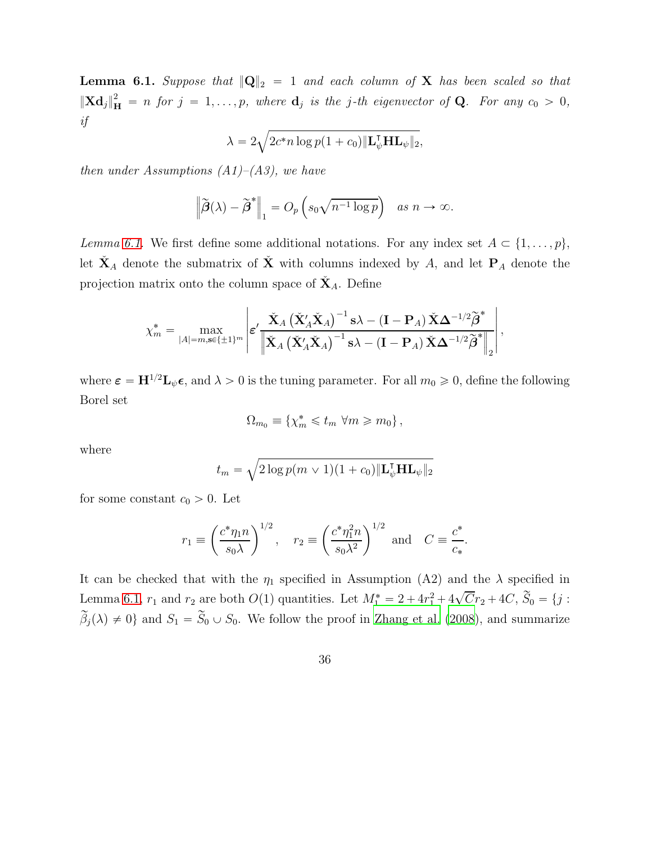<span id="page-35-0"></span>**Lemma 6.1.** Suppose that  $\|Q\|_2 = 1$  and each column of X has been scaled so that  $\|\mathbf{X} \mathbf{d}_j\|_{\mathbf{H}}^2 = n$  for  $j = 1, \ldots, p$ , where  $\mathbf{d}_j$  is the j-th eigenvector of **Q**. For any  $c_0 > 0$ , *if*

$$
\lambda = 2\sqrt{2c^*n\log p(1+c_0)\|\mathbf{L}_{\psi}^{\mathsf{T}}\mathbf{H}\mathbf{L}_{\psi}\|_2},
$$

*then under Assumptions (A1)–(A3), we have*

$$
\left\|\widetilde{\boldsymbol{\beta}}(\lambda)-\widetilde{\boldsymbol{\beta}}^*\right\|_1 = O_p\left(s_0\sqrt{n^{-1}\log p}\right) \quad \text{as } n \to \infty.
$$

*Lemma* [6.1.](#page-35-0) We first define some additional notations. For any index set  $A \subset \{1, \ldots, p\}$ , let  $\check{\mathbf{X}}_A$  denote the submatrix of  $\check{\mathbf{X}}$  with columns indexed by A, and let  $P_A$  denote the projection matrix onto the column space of  $\check{X}_A$ . Define

$$
\chi_m^* = \max_{|A|=m,\mathbf{s}\in\{\pm 1\}^m} \left| \varepsilon' \frac{\check{\mathbf{X}}_A \left( \check{\mathbf{X}}_A' \check{\mathbf{X}}_A \right)^{-1} \mathbf{s} \lambda - (\mathbf{I} - \mathbf{P}_A) \check{\mathbf{X}} \Delta^{-1/2} \widetilde{\boldsymbol{\beta}}^*}{\left\| \check{\mathbf{X}}_A \left( \check{\mathbf{X}}_A' \check{\mathbf{X}}_A \right)^{-1} \mathbf{s} \lambda - (\mathbf{I} - \mathbf{P}_A) \check{\mathbf{X}} \Delta^{-1/2} \widetilde{\boldsymbol{\beta}}^* \right\|_2} \right|,
$$

where  $\epsilon = H^{1/2}L_{\psi}\epsilon$ , and  $\lambda > 0$  is the tuning parameter. For all  $m_0 \geq 0$ , define the following Borel set

$$
\Omega_{m_0} \equiv \{ \chi_m^* \leq t_m \ \forall m \geq m_0 \},
$$

where

$$
t_m = \sqrt{2 \log p(m \vee 1)(1 + c_0) \|\mathbf{L}_{\psi}^{\mathsf{T}} \mathbf{H} \mathbf{L}_{\psi}\|_2}
$$

for some constant  $c_0 > 0$ . Let

$$
r_1 \equiv \left(\frac{c^*\eta_1 n}{s_0 \lambda}\right)^{1/2}, \quad r_2 \equiv \left(\frac{c^*\eta_1^2 n}{s_0 \lambda^2}\right)^{1/2} \text{ and } C \equiv \frac{c^*}{c_*}.
$$

It can be checked that with the  $\eta_1$  specified in Assumption (A2) and the  $\lambda$  specified in Lemma [6.1,](#page-35-0)  $r_1$  and  $r_2$  are both  $O(1)$  quantities. Let  $M_1^* = 2 + 4r_1^2 + 4\sqrt{C}r_2 + 4C$ ,  $\widetilde{S}_0 = \{j :$  $\beta_j(\lambda) \neq 0$  and  $S_1 = S_0 \cup S_0$ . We follow the proof in [Zhang et al. \(2008\)](#page-44-6), and summarize

36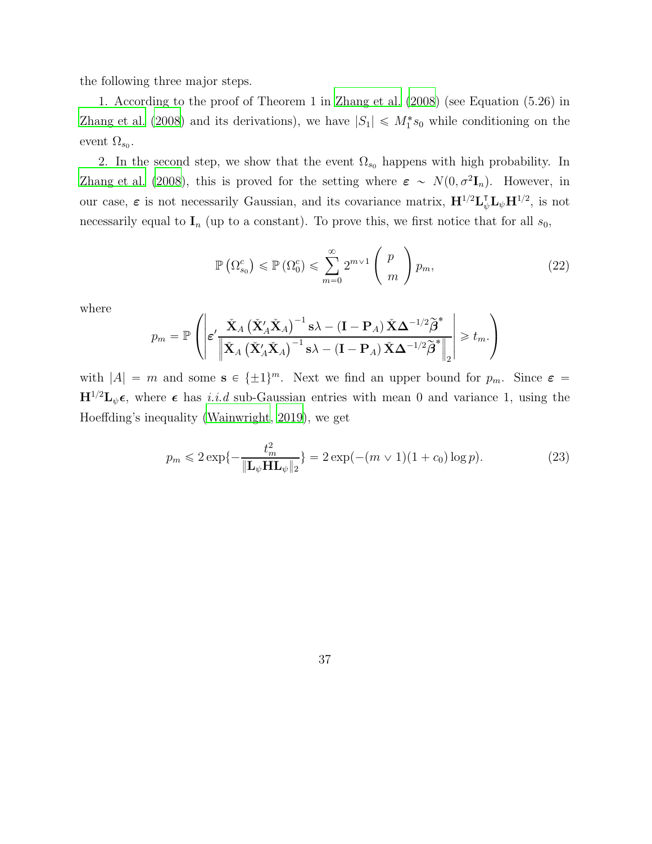the following three major steps.

1. According to the proof of Theorem 1 in [Zhang et al. \(2008\)](#page-44-6) (see Equation (5.26) in [Zhang et al. \(2008](#page-44-6)) and its derivations), we have  $|S_1| \le M_1^* s_0$  while conditioning on the event  $\Omega_{s_0}$ .

2. In the second step, we show that the event  $\Omega_{s_0}$  happens with high probability. In [Zhang et al. \(2008](#page-44-6)), this is proved for the setting where  $\varepsilon \sim N(0, \sigma^2 \mathbf{I}_n)$ . However, in our case,  $\varepsilon$  is not necessarily Gaussian, and its covariance matrix,  $H^{1/2}L_{\psi}^{T}L_{\psi}H^{1/2}$ , is not necessarily equal to  $I_n$  (up to a constant). To prove this, we first notice that for all  $s_0$ ,

<span id="page-36-0"></span>
$$
\mathbb{P}\left(\Omega_{s_0}^c\right) \leqslant \mathbb{P}\left(\Omega_0^c\right) \leqslant \sum_{m=0}^{\infty} 2^{m \vee 1} \left(\begin{array}{c} p \\ m \end{array}\right) p_m,\tag{22}
$$

where

$$
p_m = \mathbb{P}\left( \left| \boldsymbol{\varepsilon}' \frac{\check{\mathbf{X}}_A \left( \check{\mathbf{X}}_A'\check{\mathbf{X}}_A \right)^{-1} \mathbf{s} \lambda - (\mathbf{I} - \mathbf{P}_A) \check{\mathbf{X}} \Delta^{-1/2} \widetilde{\boldsymbol{\beta}}^*}{\left\| \check{\mathbf{X}}_A \left( \check{\mathbf{X}}_A'\check{\mathbf{X}}_A \right)^{-1} \mathbf{s} \lambda - (\mathbf{I} - \mathbf{P}_A) \check{\mathbf{X}} \Delta^{-1/2} \widetilde{\boldsymbol{\beta}}^* \right\|_2} \right| \geq t_m.
$$

with  $|A| = m$  and some  $s \in {\pm 1}^m$ . Next we find an upper bound for  $p_m$ . Since  $\varepsilon =$  $H^{1/2}L_{\psi}\epsilon$ , where  $\epsilon$  has *i.i.d* sub-Gaussian entries with mean 0 and variance 1, using the Hoeffding's inequality [\(Wainwright, 2019](#page-44-4)), we get

<span id="page-36-1"></span>
$$
p_m \leq 2 \exp\{-\frac{t_m^2}{\|\mathbf{L}_{\psi}\mathbf{H}\mathbf{L}_{\psi}\|_2}\} = 2 \exp(-(m \vee 1)(1+c_0) \log p). \tag{23}
$$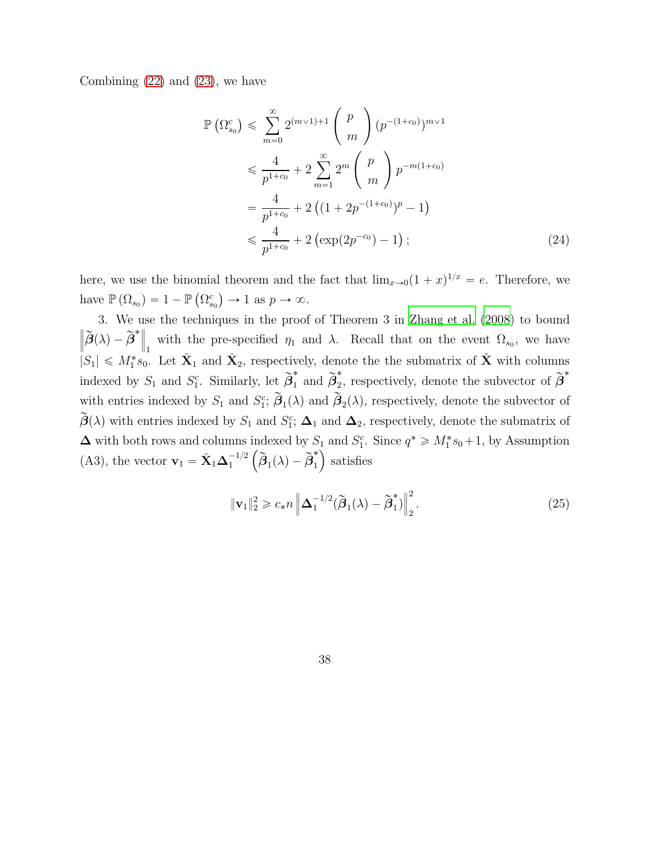Combining  $(22)$  and  $(23)$ , we have

$$
\mathbb{P}\left(\Omega_{s_0}^c\right) \leqslant \sum_{m=0}^{\infty} 2^{(m \vee 1)+1} \binom{p}{m} (p^{-(1+c_0)})^{m \vee 1}
$$
  

$$
\leqslant \frac{4}{p^{1+c_0}} + 2 \sum_{m=1}^{\infty} 2^m \binom{p}{m} p^{-m(1+c_0)}
$$
  

$$
= \frac{4}{p^{1+c_0}} + 2 \left( (1 + 2p^{-(1+c_0)})^p - 1 \right)
$$
  

$$
\leqslant \frac{4}{p^{1+c_0}} + 2 \left( \exp(2p^{-c_0}) - 1 \right); \tag{24}
$$

here, we use the binomial theorem and the fact that  $\lim_{x\to 0} (1+x)^{1/x} = e$ . Therefore, we have  $\mathbb{P}(\Omega_{s_0}) = 1 - \mathbb{P}(\Omega_{s_0}^c) \to 1$  as  $p \to \infty$ .

3. We use the techniques in the proof of Theorem 3 in [Zhang et al. \(2008](#page-44-6)) to bound  $\left\| \widetilde{\boldsymbol{\beta}}(\lambda) - \widetilde{\boldsymbol{\beta}}^* \right\|_1$  with the pre-specified  $\eta_1$  and  $\lambda$ . Recall that on the event  $\Omega_{s_0}$ , we have  $|S_1| \leq M_1^* s_0$ . Let  $\check{\mathbf{X}}_1$  and  $\check{\mathbf{X}}_2$ , respectively, denote the submatrix of  $\check{\mathbf{X}}$  with columns indexed by  $S_1$  and  $S_1^c$ . Similarly, let  $\widetilde{\beta}_1^*$  $i_1^*$  and  $\widetilde{\beta}_2^*$  $_2^*$ , respectively, denote the subvector of  $\widetilde{\beta}^*$ with entries indexed by  $S_1$  and  $S_1^c$ ;  $\tilde{\boldsymbol{\beta}}_1(\lambda)$  and  $\tilde{\boldsymbol{\beta}}_2(\lambda)$ , respectively, denote the subvector of  $\tilde{\boldsymbol{\beta}}(\lambda)$  with entries indexed by  $S_1$  and  $S_1^c$ ;  $\boldsymbol{\Delta}_1$  and  $\boldsymbol{\Delta}_2$ , respectively, denote the submatrix of  $\Delta$  with both rows and columns indexed by  $S_1$  and  $S_1^c$ . Since  $q^* \geq M_1^* s_0 + 1$ , by Assumption (A3), the vector  $\mathbf{v}_1 = \check{\mathbf{X}}_1 \boldsymbol{\Delta}_1^{-1/2} \left( \widetilde{\boldsymbol{\beta}}_1(\lambda) - \widetilde{\boldsymbol{\beta}}_1^* \right)$  $\binom{1}{1}$  satisfies

$$
\|\mathbf{v}_1\|_2^2 \ge c_* n \left\| \mathbf{\Delta}_1^{-1/2} (\widetilde{\boldsymbol{\beta}}_1(\lambda) - \widetilde{\boldsymbol{\beta}}_1^*) \right\|_2^2.
$$
 (25)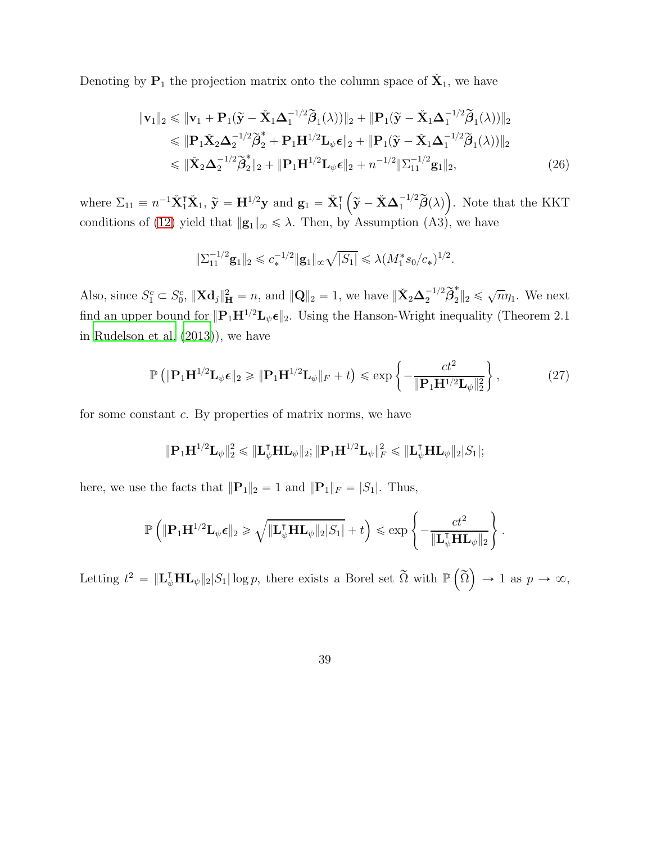Denoting by  $P_1$  the projection matrix onto the column space of  $\check{X}_1$ , we have

$$
\|\mathbf{v}_1\|_2 \le \|\mathbf{v}_1 + \mathbf{P}_1(\widetilde{\mathbf{y}} - \check{\mathbf{X}}_1 \Delta_1^{-1/2} \widetilde{\boldsymbol{\beta}}_1(\lambda))\|_2 + \|\mathbf{P}_1(\widetilde{\mathbf{y}} - \check{\mathbf{X}}_1 \Delta_1^{-1/2} \widetilde{\boldsymbol{\beta}}_1(\lambda))\|_2
$$
  
\n
$$
\le \|\mathbf{P}_1 \check{\mathbf{X}}_2 \Delta_2^{-1/2} \widetilde{\boldsymbol{\beta}}_2^* + \mathbf{P}_1 \mathbf{H}^{1/2} \mathbf{L}_{\psi} \boldsymbol{\epsilon}\|_2 + \|\mathbf{P}_1(\widetilde{\mathbf{y}} - \check{\mathbf{X}}_1 \Delta_1^{-1/2} \widetilde{\boldsymbol{\beta}}_1(\lambda))\|_2
$$
  
\n
$$
\le \|\check{\mathbf{X}}_2 \Delta_2^{-1/2} \widetilde{\boldsymbol{\beta}}_2^*\|_2 + \|\mathbf{P}_1 \mathbf{H}^{1/2} \mathbf{L}_{\psi} \boldsymbol{\epsilon}\|_2 + n^{-1/2} \|\Sigma_{11}^{-1/2} \mathbf{g}_1\|_2, \tag{26}
$$

where  $\Sigma_{11} \equiv n^{-1} \check{\mathbf{X}}_1^{\intercal} \check{\mathbf{X}}_1$ ,  $\widetilde{\mathbf{y}} = \mathbf{H}^{1/2} \mathbf{y}$  and  $\mathbf{g}_1 = \check{\mathbf{X}}_1^{\intercal} \left( \widetilde{\mathbf{y}} - \check{\mathbf{X}} \boldsymbol{\Delta}_1^{-1/2} \widetilde{\boldsymbol{\beta}}(\lambda) \right)$ . Note that the KKT conditions of [\(12\)](#page-13-0) yield that  $||\mathbf{g}_1||_{\infty} \leq \lambda$ . Then, by Assumption (A3), we have

$$
\|\Sigma_{11}^{-1/2}\mathbf{g}_1\|_2 \leq c_*^{-1/2} \|\mathbf{g}_1\|_{\infty} \sqrt{|S_1|} \leq \lambda (M_1^* s_0/c_*)^{1/2}.
$$

Also, since  $S_1^c \subset S_0^c$ ,  $\|\mathbf{X}\mathbf{d}_j\|_{\mathbf{H}}^2 = n$ , and  $\|\mathbf{Q}\|_2 = 1$ , we have  $\|\check{\mathbf{X}}_2\boldsymbol{\Delta}_2^{-1/2}\widetilde{\boldsymbol{\beta}}_2^*$  $_{2}\Vert_{2}\leqslant$  $\sqrt{n}\eta_1$ . We next find an upper bound for  $||\mathbf{P}_1\mathbf{H}^{1/2}\mathbf{L}_{\psi}\boldsymbol{\epsilon}||_2$ . Using the Hanson-Wright inequality (Theorem 2.1) in [Rudelson et al. \(2013](#page-43-9))), we have

$$
\mathbb{P}\left(\|\mathbf{P}_1\mathbf{H}^{1/2}\mathbf{L}_{\psi}\boldsymbol{\epsilon}\|_2 \geqslant \|\mathbf{P}_1\mathbf{H}^{1/2}\mathbf{L}_{\psi}\|_F + t\right) \leqslant \exp\left\{-\frac{ct^2}{\|\mathbf{P}_1\mathbf{H}^{1/2}\mathbf{L}_{\psi}\|_2^2}\right\},\tag{27}
$$

for some constant c. By properties of matrix norms, we have

$$
\|\mathbf{P}_1\mathbf{H}^{1/2}\mathbf{L}_{\psi}\|_2^2 \leqslant \|\mathbf{L}_{\psi}^{\intercal}\mathbf{H}\mathbf{L}_{\psi}\|_2; \|\mathbf{P}_1\mathbf{H}^{1/2}\mathbf{L}_{\psi}\|_F^2 \leqslant \|\mathbf{L}_{\psi}^{\intercal}\mathbf{H}\mathbf{L}_{\psi}\|_2|S_1|;
$$

here, we use the facts that  $||\mathbf{P}_1||_2 = 1$  and  $||\mathbf{P}_1||_F = |S_1|$ . Thus,

$$
\mathbb{P}\left(\|\mathbf{P}_1\mathbf{H}^{1/2}\mathbf{L}_{\psi}\boldsymbol{\epsilon}\|_2 \geqslant \sqrt{\|\mathbf{L}_{\psi}^{\mathsf{T}}\mathbf{H}\mathbf{L}_{\psi}\|_2|S_1|} + t\right) \leqslant \exp\left\{-\frac{ct^2}{\|\mathbf{L}_{\psi}^{\mathsf{T}}\mathbf{H}\mathbf{L}_{\psi}\|_2}\right\}.
$$

Letting  $t^2 = \|\mathbf{L}_{\psi}^{\mathsf{T}}\mathbf{H}\mathbf{L}_{\psi}\|_2 |S_1| \log p$ , there exists a Borel set  $\widetilde{\Omega}$  with  $\mathbb{P}\left(\widetilde{\Omega}\right) \to 1$  as  $p \to \infty$ ,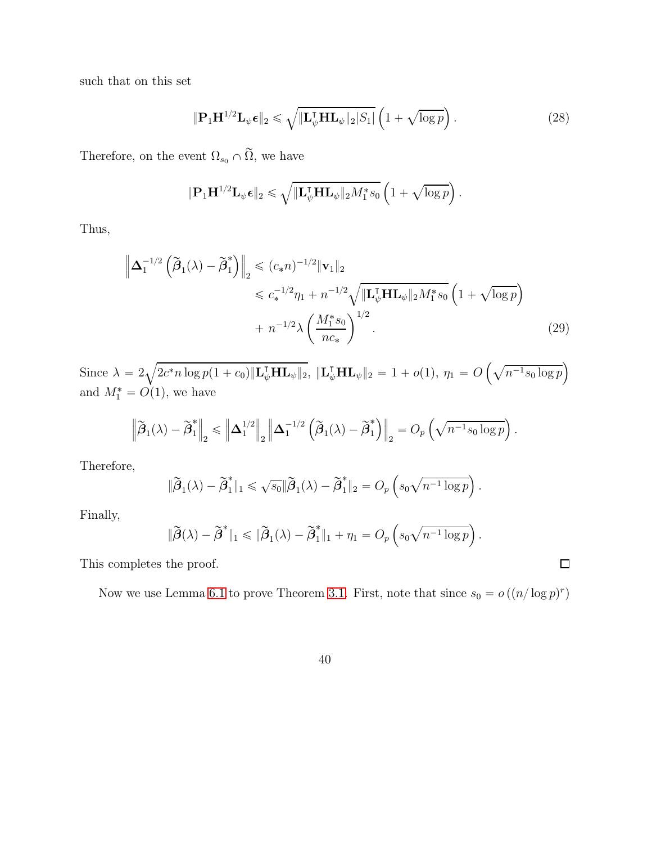such that on this set

$$
\|\mathbf{P}_1\mathbf{H}^{1/2}\mathbf{L}_{\psi}\boldsymbol{\epsilon}\|_2 \leqslant \sqrt{\|\mathbf{L}_{\psi}^{\mathsf{T}}\mathbf{H}\mathbf{L}_{\psi}\|_2|S_1|} \left(1 + \sqrt{\log p}\right). \tag{28}
$$

.

 $\square$ 

Therefore, on the event  $\Omega_{s_0}\cap \widetilde{\Omega},$  we have

$$
\|\mathbf{P}_1\mathbf{H}^{1/2}\mathbf{L}_{\psi}\boldsymbol{\epsilon}\|_2 \leqslant \sqrt{\|\mathbf{L}_{\psi}^{\mathsf{T}}\mathbf{H}\mathbf{L}_{\psi}\|_2M_1^*s_0}\left(1+\sqrt{\log p}\right)
$$

Thus,

$$
\left\| \Delta_1^{-1/2} \left( \tilde{\beta}_1(\lambda) - \tilde{\beta}_1^* \right) \right\|_2 \leq (c_* n)^{-1/2} \| \mathbf{v}_1 \|_2
$$
  

$$
\leq c_*^{-1/2} \eta_1 + n^{-1/2} \sqrt{\| \mathbf{L}_{\psi}^{\mathsf{T}} \mathbf{H} \mathbf{L}_{\psi} \|_2 M_1^* s_0} \left( 1 + \sqrt{\log p} \right)
$$
  

$$
+ n^{-1/2} \lambda \left( \frac{M_1^* s_0}{n c_*} \right)^{1/2} .
$$
 (29)

Since  $\lambda = 2\sqrt{2c^*n \log p(1+c_0) \|\mathbf{L}_{\psi}^{\mathsf{T}} \mathbf{H} \mathbf{L}_{\psi}\|_2}$ ,  $\|\mathbf{L}_{\psi}^{\mathsf{T}} \mathbf{H} \mathbf{L}_{\psi}\|_2 = 1 + o(1)$ ,  $\eta_1 = O\left(\sqrt{n^{-1}s_0 \log p}\right)$ and  $M_1^* = O(1)$ , we have

$$
\left\|\widetilde{\boldsymbol{\beta}}_1(\lambda)-\widetilde{\boldsymbol{\beta}}_1^*\right\|_2 \leqslant \left\|\boldsymbol{\Delta}_1^{1/2}\right\|_2 \left\|\boldsymbol{\Delta}_1^{-1/2}\left(\widetilde{\boldsymbol{\beta}}_1(\lambda)-\widetilde{\boldsymbol{\beta}}_1^*\right)\right\|_2 = O_p\left(\sqrt{n^{-1}s_0\log p}\right).
$$

Therefore,

$$
\|\widetilde{\boldsymbol{\beta}}_1(\lambda)-\widetilde{\boldsymbol{\beta}}_1^*\|_1 \leqslant \sqrt{s_0}\|\widetilde{\boldsymbol{\beta}}_1(\lambda)-\widetilde{\boldsymbol{\beta}}_1^*\|_2 = O_p\left(s_0\sqrt{n^{-1}\log p}\right).
$$

Finally,

$$
\|\widetilde{\boldsymbol{\beta}}(\lambda)-\widetilde{\boldsymbol{\beta}}^*\|_1 \le \|\widetilde{\boldsymbol{\beta}}_1(\lambda)-\widetilde{\boldsymbol{\beta}}_1^*\|_1 + \eta_1 = O_p\left(s_0\sqrt{n^{-1}\log p}\right).
$$

This completes the proof.

Now we use Lemma [6.1](#page-35-0) to prove Theorem [3.1.](#page-14-0) First, note that since  $s_0 = o((n/\log p)^r)$ 

$$
40\,
$$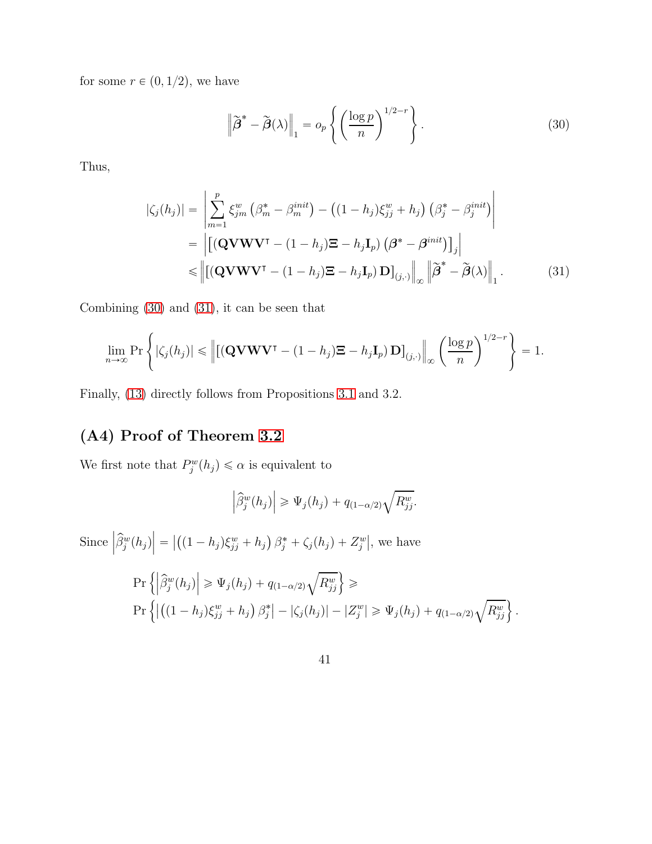for some  $r \in (0, 1/2)$ , we have

<span id="page-40-1"></span><span id="page-40-0"></span>
$$
\left\| \widetilde{\boldsymbol{\beta}}^* - \widetilde{\boldsymbol{\beta}}(\lambda) \right\|_1 = o_p \left\{ \left( \frac{\log p}{n} \right)^{1/2 - r} \right\}.
$$
 (30)

Thus,

$$
|\zeta_j(h_j)| = \left| \sum_{m=1}^p \xi_{jm}^w \left( \beta_m^* - \beta_m^{init} \right) - \left( (1 - h_j) \xi_{jj}^w + h_j \right) \left( \beta_j^* - \beta_j^{init} \right) \right|
$$
  
\n
$$
= \left| \left[ (\mathbf{QVWV}^\intercal - (1 - h_j) \mathbf{\Xi} - h_j \mathbf{I}_p) \left( \boldsymbol{\beta}^* - \boldsymbol{\beta}^{init} \right) \right]_j \right|
$$
  
\n
$$
\leq \left\| \left[ (\mathbf{QVWV}^\intercal - (1 - h_j) \mathbf{\Xi} - h_j \mathbf{I}_p) \mathbf{D} \right]_{(j, \cdot)} \right\|_{\infty} \left\| \widetilde{\boldsymbol{\beta}}^* - \widetilde{\boldsymbol{\beta}}(\lambda) \right\|_1.
$$
 (31)

Combining [\(30\)](#page-40-0) and [\(31\)](#page-40-1), it can be seen that

$$
\lim_{n\to\infty} \Pr\left\{ |\zeta_j(h_j)| \le \left\| \left[ (\mathbf{Q} \mathbf{V} \mathbf{W} \mathbf{V}^\intercal - (1-h_j) \mathbf{\Xi} - h_j \mathbf{I}_p) \mathbf{D} \right]_{(j,\cdot)} \right\|_{\infty} \left( \frac{\log p}{n} \right)^{1/2-r} \right\} = 1.
$$

Finally, [\(13\)](#page-14-2) directly follows from Propositions [3.1](#page-10-1) and 3.2.

# (A4) Proof of Theorem [3.2](#page-14-1)

We first note that  $P_j^w(h_j) \le \alpha$  is equivalent to

$$
\left|\widehat{\beta}_j^w(h_j)\right| \geq \Psi_j(h_j) + q_{(1-\alpha/2)}\sqrt{R_{jj}^w}.
$$

Since  $\left|\widehat{\beta}_j^w(h_j)\right| = \left|\left((1-h_j)\xi_{jj}^w + h_j\right)\beta_j^* + \zeta_j(h_j) + Z_j^w\right|$ , we have

$$
\Pr\left\{ \left| \widehat{\beta}_j^w(h_j) \right| \geq \Psi_j(h_j) + q_{(1-\alpha/2)}\sqrt{R_{jj}^w} \right\} \geq
$$
\n
$$
\Pr\left\{ \left| \left( (1-h_j)\xi_{jj}^w + h_j \right) \beta_j^* \right| - \left| \zeta_j(h_j) \right| - \left| Z_j^w \right| \geq \Psi_j(h_j) + q_{(1-\alpha/2)}\sqrt{R_{jj}^w} \right\}.
$$

41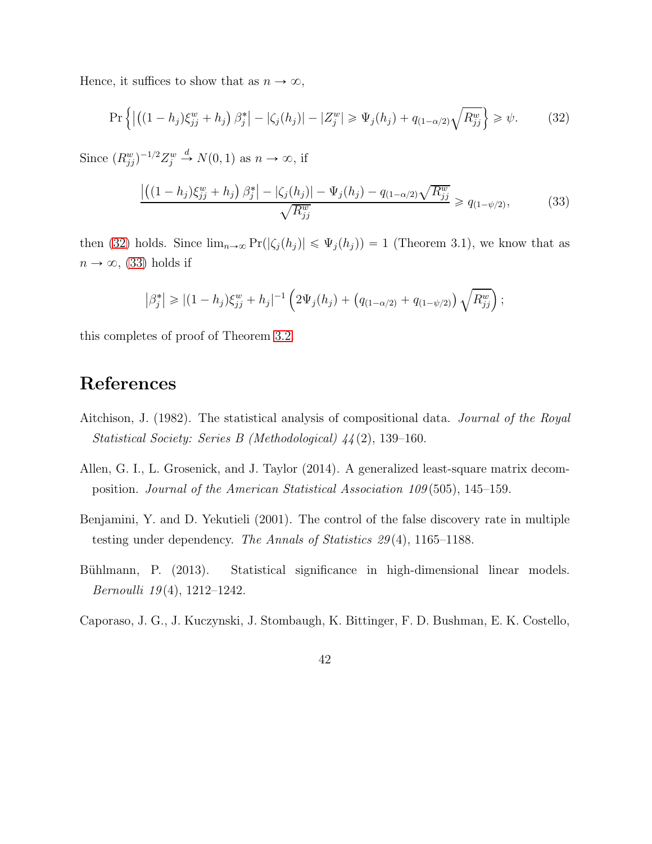Hence, it suffices to show that as  $n \to \infty$ ,

$$
\Pr\left\{ \left| \left( (1 - h_j) \xi_{jj}^w + h_j \right) \beta_j^* \right| - \left| \zeta_j(h_j) \right| - \left| Z_j^w \right| \ge \Psi_j(h_j) + q_{(1 - \alpha/2)} \sqrt{R_{jj}^w} \right\} \ge \psi. \tag{32}
$$

Since  $(R_{jj}^w)^{-1/2}Z_j^w \stackrel{d}{\rightarrow} N(0, 1)$  as  $n \to \infty$ , if

<span id="page-41-6"></span><span id="page-41-5"></span>
$$
\frac{\left| \left( (1 - h_j) \xi_{jj}^w + h_j \right) \beta_j^* \right| - \left| \zeta_j(h_j) \right| - \Psi_j(h_j) - q_{(1 - \alpha/2)} \sqrt{R_{jj}^w}}{\sqrt{R_{jj}^w}} \ge q_{(1 - \psi/2)},
$$
\n(33)

then [\(32\)](#page-41-5) holds. Since  $\lim_{n\to\infty} \Pr(|\zeta_j(h_j)| \leq \Psi_j(h_j)) = 1$  (Theorem 3.1), we know that as  $n \to \infty$ , [\(33\)](#page-41-6) holds if

$$
\left|\beta_j^*\right| \geq (1-h_j)\xi_{jj}^w + h_j\left|^{-1}\left(2\Psi_j(h_j) + \left(q_{(1-\alpha/2)} + q_{(1-\psi/2)}\right)\sqrt{R_{jj}^w}\right)\right|
$$

this completes of proof of Theorem [3.2.](#page-14-1)

# References

- <span id="page-41-3"></span>Aitchison, J. (1982). The statistical analysis of compositional data. *Journal of the Royal Statistical Society: Series B (Methodological) 44* (2), 139–160.
- <span id="page-41-1"></span>Allen, G. I., L. Grosenick, and J. Taylor (2014). A generalized least-square matrix decomposition. *Journal of the American Statistical Association 109* (505), 145–159.
- <span id="page-41-4"></span>Benjamini, Y. and D. Yekutieli (2001). The control of the false discovery rate in multiple testing under dependency. *The Annals of Statistics 29* (4), 1165–1188.
- <span id="page-41-0"></span>Bühlmann, P. (2013). Statistical significance in high-dimensional linear models. *Bernoulli 19* (4), 1212–1242.
- <span id="page-41-2"></span>Caporaso, J. G., J. Kuczynski, J. Stombaugh, K. Bittinger, F. D. Bushman, E. K. Costello,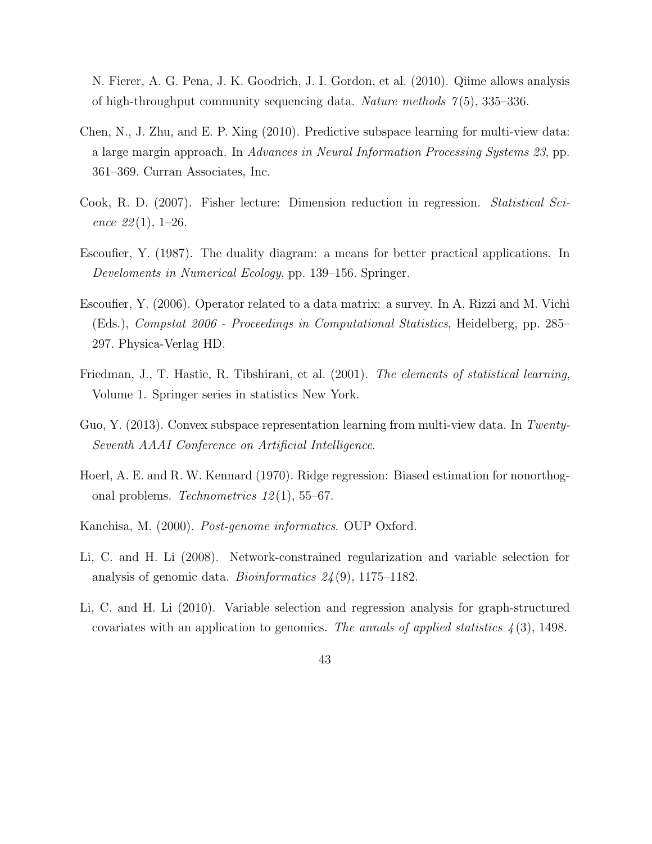N. Fierer, A. G. Pena, J. K. Goodrich, J. I. Gordon, et al. (2010). Qiime allows analysis of high-throughput community sequencing data. *Nature methods 7* (5), 335–336.

- <span id="page-42-7"></span>Chen, N., J. Zhu, and E. P. Xing (2010). Predictive subspace learning for multi-view data: a large margin approach. In *Advances in Neural Information Processing Systems 23*, pp. 361–369. Curran Associates, Inc.
- <span id="page-42-4"></span>Cook, R. D. (2007). Fisher lecture: Dimension reduction in regression. *Statistical Science 22* (1), 1–26.
- <span id="page-42-3"></span>Escoufier, Y. (1987). The duality diagram: a means for better practical applications. In *Develoments in Numerical Ecology*, pp. 139–156. Springer.
- <span id="page-42-0"></span>Escoufier, Y. (2006). Operator related to a data matrix: a survey. In A. Rizzi and M. Vichi (Eds.), *Compstat 2006 - Proceedings in Computational Statistics*, Heidelberg, pp. 285– 297. Physica-Verlag HD.
- <span id="page-42-5"></span>Friedman, J., T. Hastie, R. Tibshirani, et al. (2001). *The elements of statistical learning*, Volume 1. Springer series in statistics New York.
- <span id="page-42-8"></span>Guo, Y. (2013). Convex subspace representation learning from multi-view data. In *Twenty-Seventh AAAI Conference on Artificial Intelligence*.
- <span id="page-42-6"></span>Hoerl, A. E. and R. W. Kennard (1970). Ridge regression: Biased estimation for nonorthogonal problems. *Technometrics 12* (1), 55–67.
- <span id="page-42-9"></span>Kanehisa, M. (2000). *Post-genome informatics*. OUP Oxford.
- <span id="page-42-1"></span>Li, C. and H. Li (2008). Network-constrained regularization and variable selection for analysis of genomic data. *Bioinformatics 24* (9), 1175–1182.
- <span id="page-42-2"></span>Li, C. and H. Li (2010). Variable selection and regression analysis for graph-structured covariates with an application to genomics. *The annals of applied statistics 4* (3), 1498.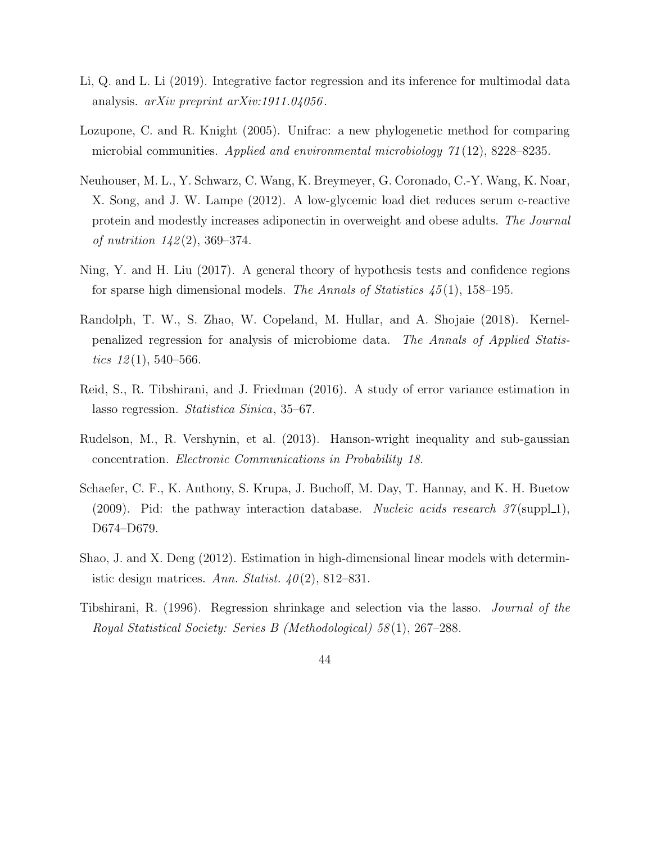- <span id="page-43-7"></span>Li, Q. and L. Li (2019). Integrative factor regression and its inference for multimodal data analysis. *arXiv preprint arXiv:1911.04056* .
- <span id="page-43-6"></span>Lozupone, C. and R. Knight (2005). Unifrac: a new phylogenetic method for comparing microbial communities. *Applied and environmental microbiology 71* (12), 8228–8235.
- <span id="page-43-5"></span>Neuhouser, M. L., Y. Schwarz, C. Wang, K. Breymeyer, G. Coronado, C.-Y. Wang, K. Noar, X. Song, and J. W. Lampe (2012). A low-glycemic load diet reduces serum c-reactive protein and modestly increases adiponectin in overweight and obese adults. *The Journal of nutrition 142* (2), 369–374.
- <span id="page-43-0"></span>Ning, Y. and H. Liu (2017). A general theory of hypothesis tests and confidence regions for sparse high dimensional models. *The Annals of Statistics 45* (1), 158–195.
- <span id="page-43-1"></span>Randolph, T. W., S. Zhao, W. Copeland, M. Hullar, and A. Shojaie (2018). Kernelpenalized regression for analysis of microbiome data. *The Annals of Applied Statistics 12* (1), 540–566.
- <span id="page-43-4"></span>Reid, S., R. Tibshirani, and J. Friedman (2016). A study of error variance estimation in lasso regression. *Statistica Sinica*, 35–67.
- <span id="page-43-9"></span>Rudelson, M., R. Vershynin, et al. (2013). Hanson-wright inequality and sub-gaussian concentration. *Electronic Communications in Probability 18*.
- <span id="page-43-8"></span>Schaefer, C. F., K. Anthony, S. Krupa, J. Buchoff, M. Day, T. Hannay, and K. H. Buetow (2009). Pid: the pathway interaction database. *Nucleic acids research 37* (suppl.1), D674–D679.
- <span id="page-43-2"></span>Shao, J. and X. Deng (2012). Estimation in high-dimensional linear models with deterministic design matrices. *Ann. Statist. 40* (2), 812–831.
- <span id="page-43-3"></span>Tibshirani, R. (1996). Regression shrinkage and selection via the lasso. *Journal of the Royal Statistical Society: Series B (Methodological) 58* (1), 267–288.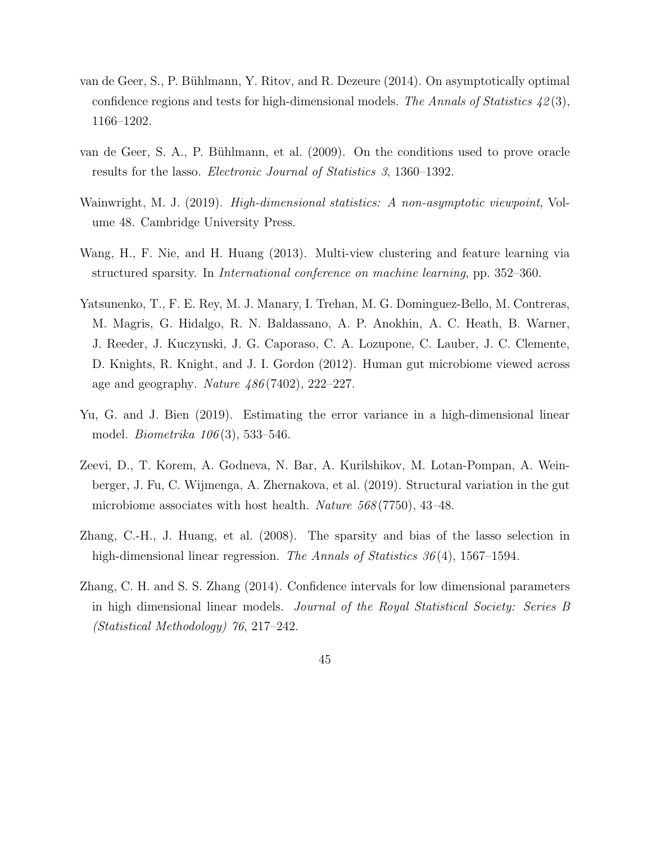- <span id="page-44-2"></span>van de Geer, S., P. Bühlmann, Y. Ritov, and R. Dezeure (2014). On asymptotically optimal confidence regions and tests for high-dimensional models. *The Annals of Statistics 42* (3), 1166–1202.
- <span id="page-44-3"></span>van de Geer, S. A., P. Bühlmann, et al. (2009). On the conditions used to prove oracle results for the lasso. *Electronic Journal of Statistics 3*, 1360–1392.
- <span id="page-44-4"></span>Wainwright, M. J. (2019). *High-dimensional statistics: A non-asymptotic viewpoint*, Volume 48. Cambridge University Press.
- <span id="page-44-8"></span>Wang, H., F. Nie, and H. Huang (2013). Multi-view clustering and feature learning via structured sparsity. In *International conference on machine learning*, pp. 352–360.
- <span id="page-44-7"></span>Yatsunenko, T., F. E. Rey, M. J. Manary, I. Trehan, M. G. Dominguez-Bello, M. Contreras, M. Magris, G. Hidalgo, R. N. Baldassano, A. P. Anokhin, A. C. Heath, B. Warner, J. Reeder, J. Kuczynski, J. G. Caporaso, C. A. Lozupone, C. Lauber, J. C. Clemente, D. Knights, R. Knight, and J. I. Gordon (2012). Human gut microbiome viewed across age and geography. *Nature 486* (7402), 222–227.
- <span id="page-44-5"></span>Yu, G. and J. Bien (2019). Estimating the error variance in a high-dimensional linear model. *Biometrika 106* (3), 533–546.
- <span id="page-44-0"></span>Zeevi, D., T. Korem, A. Godneva, N. Bar, A. Kurilshikov, M. Lotan-Pompan, A. Weinberger, J. Fu, C. Wijmenga, A. Zhernakova, et al. (2019). Structural variation in the gut microbiome associates with host health. *Nature 568* (7750), 43–48.
- <span id="page-44-6"></span>Zhang, C.-H., J. Huang, et al. (2008). The sparsity and bias of the lasso selection in high-dimensional linear regression. *The Annals of Statistics 36* (4), 1567–1594.
- <span id="page-44-1"></span>Zhang, C. H. and S. S. Zhang (2014). Confidence intervals for low dimensional parameters in high dimensional linear models. *Journal of the Royal Statistical Society: Series B (Statistical Methodology) 76*, 217–242.